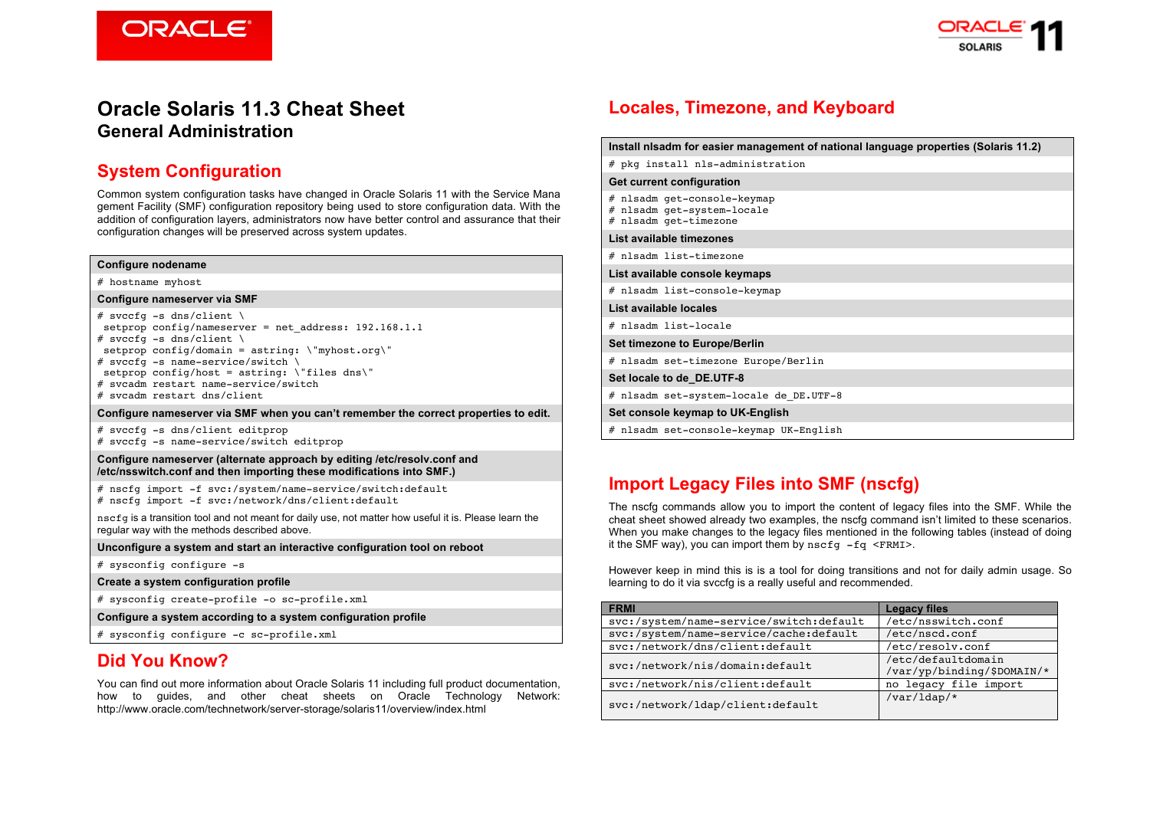**ORACLE®** 



# **Oracle Solaris 11.3 Cheat Sheet General Administration**

## **System Configuration**

Common system configuration tasks have changed in Oracle Solaris 11 with the Service Mana gement Facility (SMF) configuration repository being used to store configuration data. With the addition of configuration layers, administrators now have better control and assurance that their configuration changes will be preserved across system updates.

#### **Configure nodename**

# hostname myhost

#### **Configure nameserver via SMF**

# svccfq -s dns/client \ setprop config/nameserver = net address:  $192.168.1.1$ # svccfq -s dns/client  $\setminus$ setprop config/domain = astring:  $\mbox{mylmost.org}$ # svccfg -s name-service/switch \ setprop config/host = astring:  $\iint$ files dns $\iint$ # svcadm restart name-service/switch # svcadm restart dns/client

#### **Configure nameserver via SMF when you can't remember the correct properties to edit.**

# svccfg -s dns/client editprop # svccfg -s name-service/switch editprop

**Configure nameserver (alternate approach by editing /etc/resolv.conf and /etc/nsswitch.conf and then importing these modifications into SMF.)**

# nscfg import -f svc:/system/name-service/switch:default # nscfg import -f svc:/network/dns/client:default

nscfg is a transition tool and not meant for daily use, not matter how useful it is. Please learn the regular way with the methods described above.

**Unconfigure a system and start an interactive configuration tool on reboot**

# sysconfig configure -s

**Create a system configuration profile**

# sysconfig create-profile -o sc-profile.xml

**Configure a system according to a system configuration profile**

# sysconfig configure -c sc-profile.xml

## **Did You Know?**

You can find out more information about Oracle Solaris 11 including full product documentation, how to guides, and other cheat sheets on Oracle Technology Network: http://www.oracle.com/technetwork/server-storage/solaris11/overview/index.html

# **Locales, Timezone, and Keyboard**

| Install nisadm for easier management of national language properties (Solaris 11.2)   |
|---------------------------------------------------------------------------------------|
| # pkg install nls-administration                                                      |
| <b>Get current configuration</b>                                                      |
| # nlsadm get-console-keymap<br>nlsadm get-system-locale<br>#<br># nlsadm get-timezone |
| List available timezones                                                              |
| # nlsadm list-timezone                                                                |
| List available console keymaps                                                        |
| # nlsadm list-console-keymap                                                          |
| List available locales                                                                |
| # nlsadm list-locale                                                                  |
| <b>Set timezone to Europe/Berlin</b>                                                  |
| # nlsadm set-timezone Europe/Berlin                                                   |
| Set locale to de DE.UTF-8                                                             |
| # nlsadm set-system-locale de DE.UTF-8                                                |
| Set console keymap to UK-English                                                      |
| # nlsadm set-console-keymap UK-English                                                |

# **Import Legacy Files into SMF (nscfg)**

The nscfg commands allow you to import the content of legacy files into the SMF. While the cheat sheet showed already two examples, the nscfg command isn't limited to these scenarios. When you make changes to the legacy files mentioned in the following tables (instead of doing it the SMF way), you can import them by  $nscfg -fq \leq FRMIS$ .

However keep in mind this is is a tool for doing transitions and not for daily admin usage. So learning to do it via svccfg is a really useful and recommended.

| <b>FRMI</b>                             | <b>Legacy files</b>                              |  |
|-----------------------------------------|--------------------------------------------------|--|
| svc:/system/name-service/switch:default | /etc/nsswitch.conf                               |  |
| svc:/system/name-service/cache:default  | /etc/nscd.conf                                   |  |
| svc:/network/dns/client:default         | /etc/resolv.conf                                 |  |
| svc:/network/nis/domain:default         | /etc/defaultdomain<br>/var/yp/binding/\$DOMAIN/* |  |
| svc:/network/nis/client:default         | no legacy file import                            |  |
| svc:/network/ldap/client:default        | $/var/$ ldap/*                                   |  |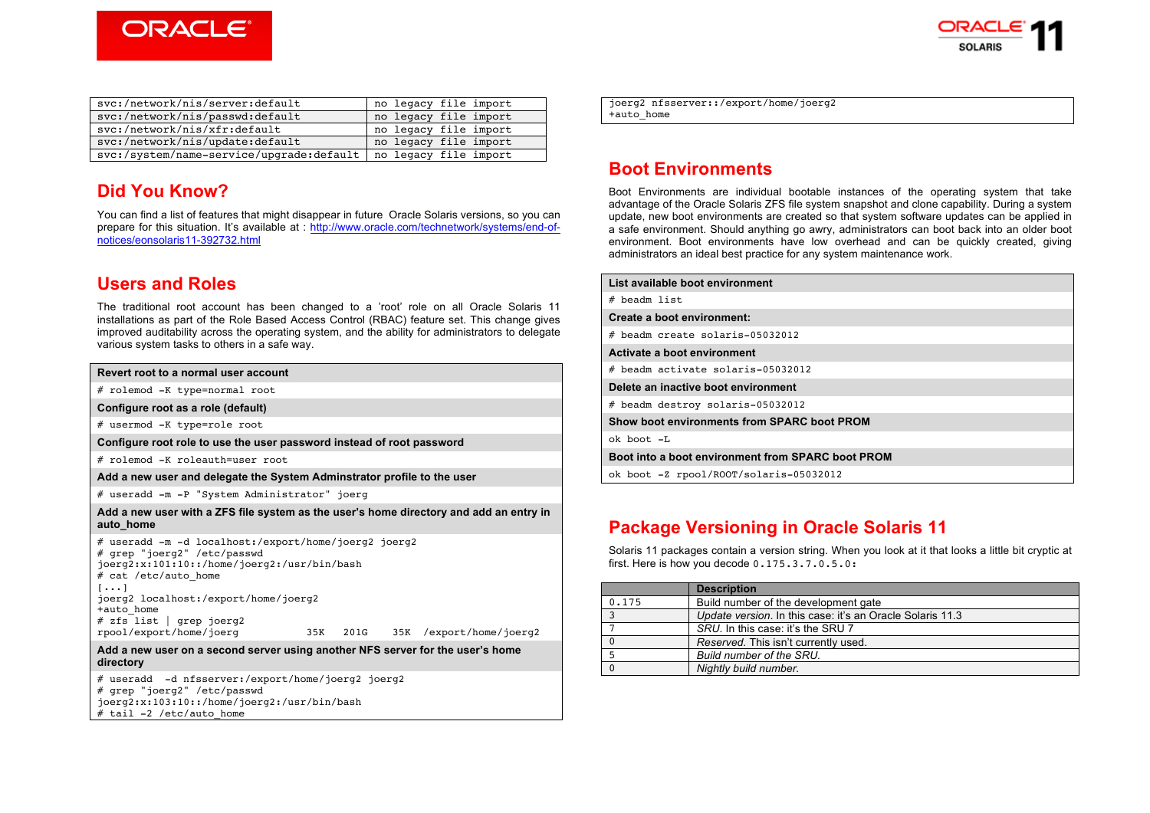



| svc:/network/nis/server:default                                  | no legacy file import |
|------------------------------------------------------------------|-----------------------|
| svc:/network/nis/passwd:default                                  | no legacy file import |
| svc:/network/nis/xfr:default                                     | no legacy file import |
| svc:/network/nis/update:default                                  | no legacy file import |
| svc:/system/name-service/upgrade:default   no legacy file import |                       |

## **Did You Know?**

You can find a list of features that might disappear in future Oracle Solaris versions, so you can prepare for this situation. It's available at : http://www.oracle.com/technetwork/systems/end-ofnotices/eonsolaris11-392732.html

## **Users and Roles**

The traditional root account has been changed to a 'root' role on all Oracle Solaris 11 installations as part of the Role Based Access Control (RBAC) feature set. This change gives improved auditability across the operating system, and the ability for administrators to delegate various system tasks to others in a safe way.

| Revert root to a normal user account                                                                                                                                                                                                                                                                                      |
|---------------------------------------------------------------------------------------------------------------------------------------------------------------------------------------------------------------------------------------------------------------------------------------------------------------------------|
| # rolemod -K type=normal root                                                                                                                                                                                                                                                                                             |
| Configure root as a role (default)                                                                                                                                                                                                                                                                                        |
| # usermod -K type=role root                                                                                                                                                                                                                                                                                               |
| Configure root role to use the user password instead of root password                                                                                                                                                                                                                                                     |
| # rolemod -K roleauth=user root                                                                                                                                                                                                                                                                                           |
| Add a new user and delegate the System Adminstrator profile to the user                                                                                                                                                                                                                                                   |
| # useradd -m -P "System Administrator" joerg                                                                                                                                                                                                                                                                              |
| Add a new user with a ZFS file system as the user's home directory and add an entry in<br>auto home                                                                                                                                                                                                                       |
| # useradd -m -d localhost:/export/home/joerg2 joerg2<br># grep "joerg2" /etc/passwd<br>joerg2:x:101:10::/home/joerg2:/usr/bin/bash<br># cat /etc/auto home<br>$[\ldots]$<br>joerg2 localhost:/export/home/joerg2<br>+auto home<br># zfs list   grep joerg2<br>rpool/export/home/joerg<br>35K 201G 35K /export/home/joerg2 |
| Add a new user on a second server using another NFS server for the user's home<br>directory                                                                                                                                                                                                                               |
| # useradd -d nfsserver:/export/home/joerg2 joerg2<br># grep "joerg2" /etc/passwd                                                                                                                                                                                                                                          |

# grep "joerg2" /etc/passwd joerg2:x:103:10::/home/joerg2:/usr/bin/bash  $#$  tail -2 /etc/auto home

joerg2 nfsserver::/export/home/joerg2 +auto home

# **Boot Environments**

Boot Environments are individual bootable instances of the operating system that take advantage of the Oracle Solaris ZFS file system snapshot and clone capability. During a system update, new boot environments are created so that system software updates can be applied in a safe environment. Should anything go awry, administrators can boot back into an older boot environment. Boot environments have low overhead and can be quickly created, giving administrators an ideal best practice for any system maintenance work.

| List available boot environment                   |
|---------------------------------------------------|
| # beadm list                                      |
| Create a boot environment:                        |
| # beadm create solaris-05032012                   |
| Activate a boot environment                       |
| # beadm activate solaris-05032012                 |
| Delete an inactive boot environment               |
| # beadm destroy solaris-05032012                  |
| Show boot environments from SPARC boot PROM       |
| ok boot -L                                        |
| Boot into a boot environment from SPARC boot PROM |
| ok boot -Z rpool/ROOT/solaris-05032012            |

# **Package Versioning in Oracle Solaris 11**

Solaris 11 packages contain a version string. When you look at it that looks a little bit cryptic at first. Here is how you decode 0.175.3.7.0.5.0:

|       | <b>Description</b>                                        |
|-------|-----------------------------------------------------------|
| 0.175 | Build number of the development gate                      |
|       | Update version. In this case: it's an Oracle Solaris 11.3 |
|       | SRU. In this case: it's the SRU 7                         |
|       | Reserved. This isn't currently used.                      |
|       | Build number of the SRU.                                  |
|       | Nightly build number.                                     |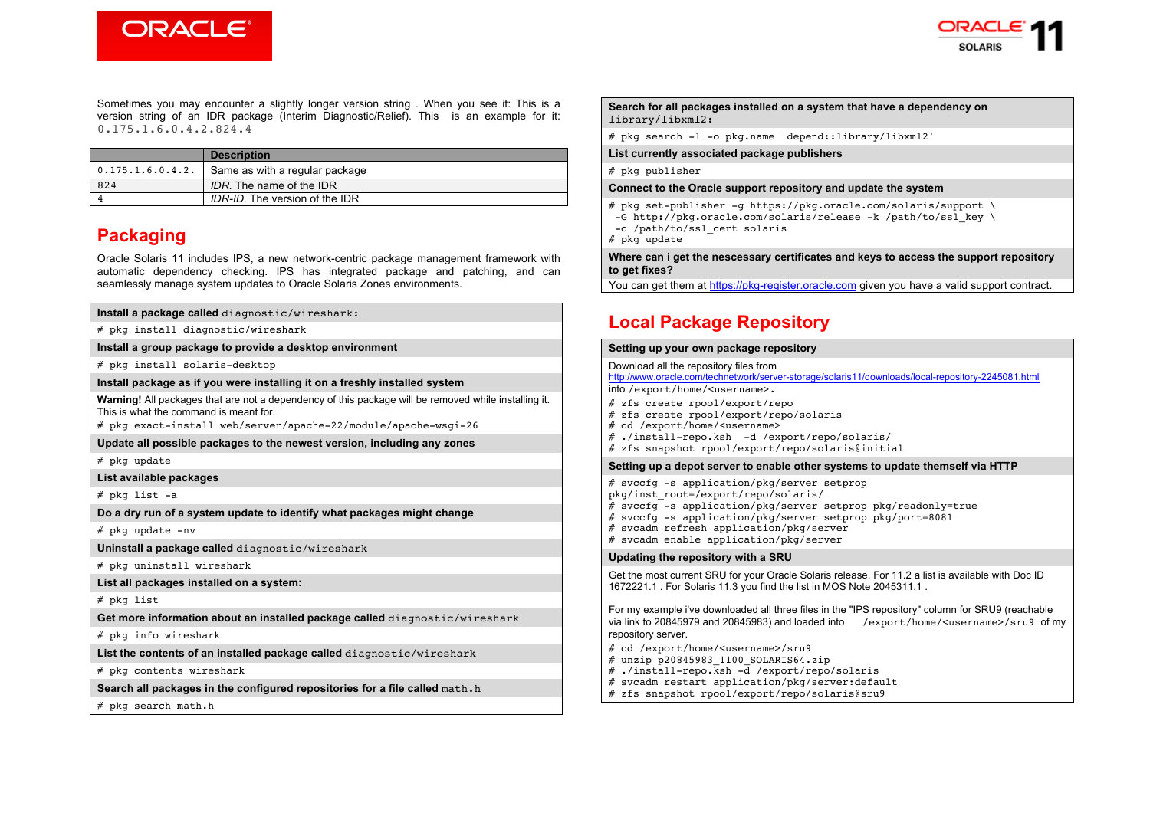



Sometimes you may encounter a slightly longer version string . When you see it: This is a version string of an IDR package (Interim Diagnostic/Relief). This is an example for it: 0.175.1.6.0.4.2.824.4

|                          | <b>Description</b>             |
|--------------------------|--------------------------------|
| $\vert$ 0.175.1.6.0.4.2. | Same as with a regular package |
| 824                      | IDR. The name of the IDR       |
|                          | IDR-ID. The version of the IDR |

## **Packaging**

Oracle Solaris 11 includes IPS, a new network-centric package management framework with automatic dependency checking. IPS has integrated package and patching, and can seamlessly manage system updates to Oracle Solaris Zones environments.

| Install a package called diagnostic/wireshark:                                                                                                 |
|------------------------------------------------------------------------------------------------------------------------------------------------|
| # pkg install diagnostic/wireshark                                                                                                             |
| Install a group package to provide a desktop environment                                                                                       |
| # pkg install solaris-desktop                                                                                                                  |
| Install package as if you were installing it on a freshly installed system                                                                     |
| Warning! All packages that are not a dependency of this package will be removed while installing it.<br>This is what the command is meant for. |
| # pkg exact-install web/server/apache-22/module/apache-wsgi-26                                                                                 |
| Update all possible packages to the newest version, including any zones                                                                        |
| # pkg update                                                                                                                                   |
| List available packages                                                                                                                        |
| # pkg list -a                                                                                                                                  |
| Do a dry run of a system update to identify what packages might change                                                                         |
| # pkg update -nv                                                                                                                               |
| Uninstall a package called diagnostic/wireshark                                                                                                |
| # pkg uninstall wireshark                                                                                                                      |
| List all packages installed on a system:                                                                                                       |
| # pkg list                                                                                                                                     |
| Get more information about an installed package called diagnostic/wireshark                                                                    |
| # pkg info wireshark                                                                                                                           |
| List the contents of an installed package called diagnostic/wireshark                                                                          |
| # pkg contents wireshark                                                                                                                       |
| Search all packages in the configured repositories for a file called math.h                                                                    |
| # pkg search math.h                                                                                                                            |

#### **Search for all packages installed on a system that have a dependency on**  library/libxml2**:**

# pkg search -l -o pkg.name 'depend::library/libxml2'

**List currently associated package publishers**

# pkg publisher

#### **Connect to the Oracle support repository and update the system**

# pkg set-publisher -g https://pkg.oracle.com/solaris/support \ -G http://pkg.oracle.com/solaris/release -k /path/to/ssl\_key \

-c /path/to/ssl\_cert solaris

# pkg update

**Where can i get the nescessary certificates and keys to access the support repository to get fixes?**

You can get them at https://pkg-register.oracle.com given you have a valid support contract.

## **Local Package Repository**

#### **Setting up your own package repository**

Download all the repository files from http://www.oracle.com/technetwork/server-storage/solaris11/downloads/local-repository-2245081.html nto /export/home/<username>. zfs create rpool/export/repo zfs create rpool/export/repo/solaris cd /export/home/<username> ./install-repo.ksh -d /export/repo/solaris/ zfs snapshot rpool/export/repo/solaris@initial **Setting up a depot server to enable other systems to update themself via HTTP** svccfg -s application/pkg/server setprop pkg/inst\_root=/export/repo/solaris/ svccfg -s application/pkg/server setprop pkg/readonly=true  $\frac{1}{2}$  svccfg -s application/pkg/server setprop pkg/port=8081 svcadm refresh application/pkg/server svcadm enable application/pkg/server **Updating the repository with a SRU** Get the most current SRU for your Oracle Solaris release. For 11.2 a list is available with Doc ID 1672221.1 . For Solaris 11.3 you find the list in MOS Note 2045311.1 . For my example i've downloaded all three files in the "IPS repository" column for SRU9 (reachable via link to 20845979 and 20845983) and loaded into /export/home/<username>/sru9 of my repository server. cd /export/home/<username>/sru9 unzip p20845983 1100 SOLARIS64.zip  $.$ /install-repo.ksh -d /export/repo/solaris svcadm restart application/pkg/server:default

- 
- zfs snapshot rpool/export/repo/solaris@sru9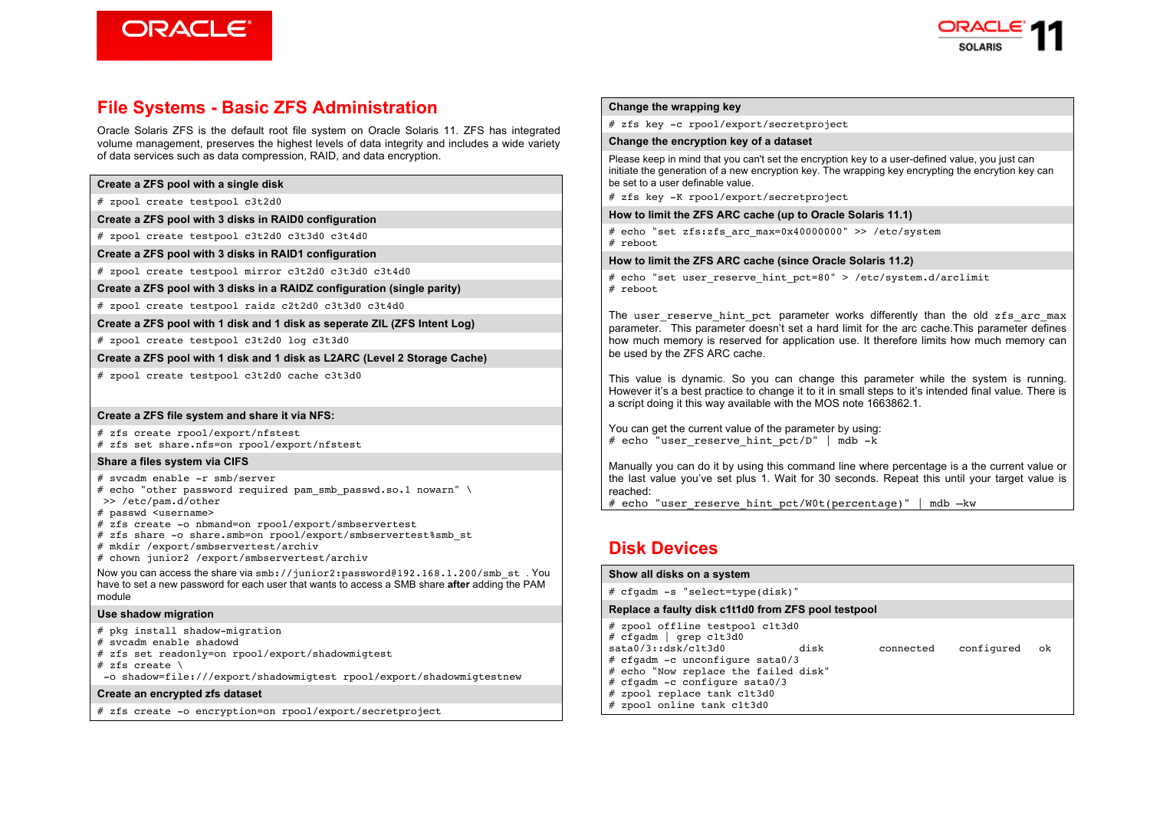



## **File Systems - Basic ZFS Administration**

Oracle Solaris ZFS is the default root file system on Oracle Solaris 11. ZFS has integrated volume management, preserves the highest levels of data integrity and includes a wide variety of data services such as data compression, RAID, and data encryption.

# zpool create testpool c3t2d0

**Create a ZFS pool with 3 disks in RAID0 configuration**

# zpool create testpool c3t2d0 c3t3d0 c3t4d0

**Create a ZFS pool with 3 disks in RAID1 configuration**

# zpool create testpool mirror c3t2d0 c3t3d0 c3t4d0

**Create a ZFS pool with 3 disks in a RAIDZ configuration (single parity)**

# zpool create testpool raidz c2t2d0 c3t3d0 c3t4d0

**Create a ZFS pool with 1 disk and 1 disk as seperate ZIL (ZFS Intent Log)**

# zpool create testpool c3t2d0 log c3t3d0

**Create a ZFS pool with 1 disk and 1 disk as L2ARC (Level 2 Storage Cache)**

# zpool create testpool c3t2d0 cache c3t3d0

#### **Create a ZFS file system and share it via NFS:**

# zfs create rpool/export/nfstest # zfs set share.nfs=on rpool/export/nfstest

#### **Share a files system via CIFS**

# svcadm enable -r smb/server # echo "other password required pam smb passwd.so.1 nowarn" \ >> /etc/pam.d/other

# passwd <username>

# zfs create -o nbmand=on rpool/export/smbservertest

# zfs share -o share.smb=on rpool/export/smbservertest%smb\_st

# mkdir /export/smbservertest/archiv

# chown junior2 /export/smbservertest/archiv

Now you can access the share via smb://junior2:password@192.168.1.200/smb\_st . You have to set a new password for each user that wants to access a SMB share **after** adding the PAM module

#### **Use shadow migration**

# pkg install shadow-migration

# svcadm enable shadowd

# zfs set readonly=on rpool/export/shadowmigtest

# zfs create  $\setminus$ 

-o shadow=file:///export/shadowmigtest rpool/export/shadowmigtestnew

#### **Create an encrypted zfs dataset**

# zfs create -o encryption=on rpool/export/secretproject

#### **Change the wrapping key**

# zfs key -c rpool/export/secretproject

#### **Change the encryption key of a dataset**

Please keep in mind that you can't set the encryption key to a user-defined value, you just can initiate the generation of a new encryption key. The wrapping key encrypting the encrytion key can be set to a user definable value.

# zfs key -K rpool/export/secretproject

#### **How to limit the ZFS ARC cache (up to Oracle Solaris 11.1)**

# echo "set zfs:zfs\_arc\_max=0x40000000" >> /etc/system # reboot

#### **How to limit the ZFS ARC cache (since Oracle Solaris 11.2)**

# echo "set user reserve hint pct=80" > /etc/system.d/arclimit # reboot

The user reserve hint pct parameter works differently than the old zfs arc max parameter. This parameter doesn't set a hard limit for the arc cache.This parameter defines how much memory is reserved for application use. It therefore limits how much memory can be used by the ZFS ARC cache.

This value is dynamic. So you can change this parameter while the system is running. However it's a best practice to change it to it in small steps to it's intended final value. There is a script doing it this way available with the MOS note 1663862.1.

You can get the current value of the parameter by using: # echo "user reserve hint pct/D" | mdb -k

Manually you can do it by using this command line where percentage is a the current value or the last value you've set plus 1. Wait for 30 seconds. Repeat this until your target value is reached:

# echo "user reserve hint pct/W0t(percentage)" | mdb –kw

# **Disk Devices**

| Show all disks on a system                                                                                                                                                                                                                                    |      |           |            |    |
|---------------------------------------------------------------------------------------------------------------------------------------------------------------------------------------------------------------------------------------------------------------|------|-----------|------------|----|
| $# cfqadm -s "select-type(disk)"$                                                                                                                                                                                                                             |      |           |            |    |
| Replace a faulty disk c1t1d0 from ZFS pool testpool                                                                                                                                                                                                           |      |           |            |    |
| # zpool offline testpool c1t3d0<br># cfqadm   qrep c1t3d0<br>sata0/3:idsk/c1t.3d0<br># cfgadm -c unconfigure sata0/3<br># echo "Now replace the failed disk"<br># cfgadm -c configure sata $0/3$<br># zpool replace tank c1t3d0<br># zpool online tank c1t3d0 | disk | connected | configured | ok |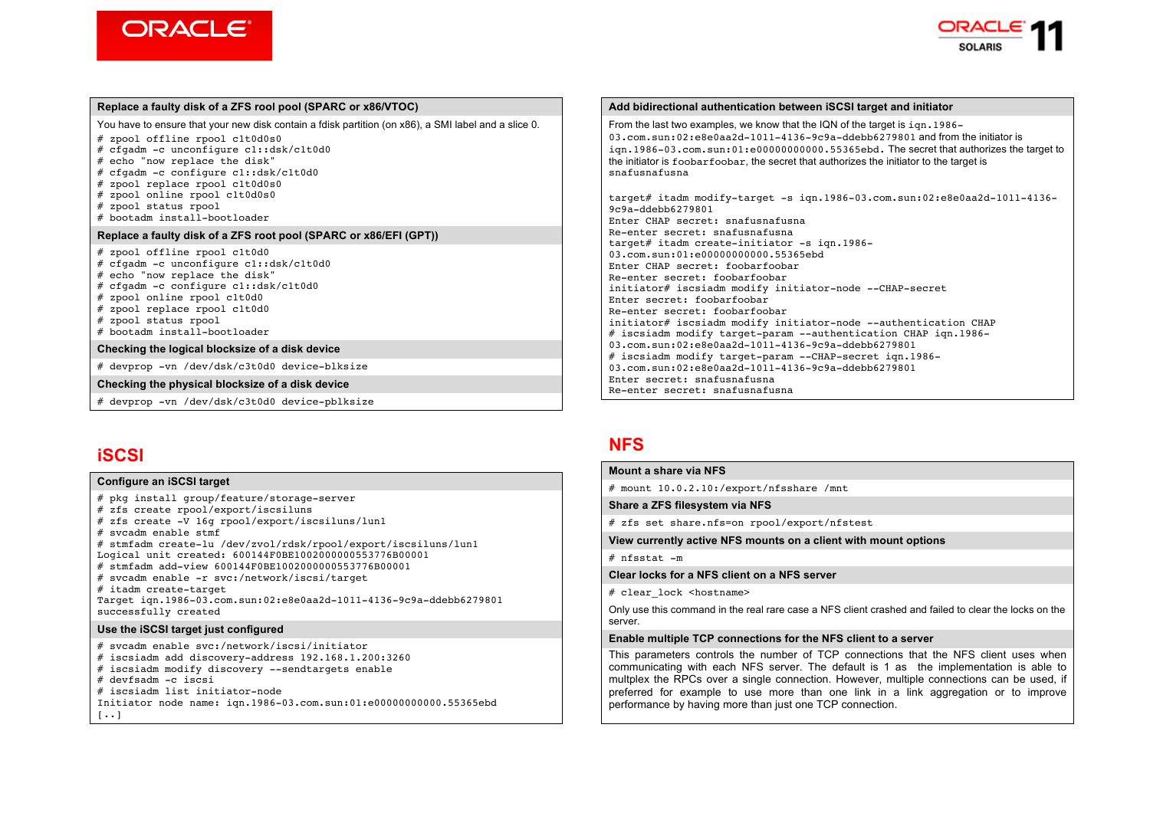



#### **Replace a faulty disk of a ZFS rool pool (SPARC or x86/VTOC)**

You have to ensure that your new disk contain a fdisk partition (on x86), a SMI label and a slice 0.

- # zpool offline rpool c1t0d0s0
- # cfgadm -c unconfigure c1::dsk/c1t0d0
- # echo "now replace the disk"
- # cfgadm -c configure c1::dsk/c1t0d0
- # zpool replace rpool c1t0d0s0
- # zpool online rpool c1t0d0s0
- # zpool status rpool
- # bootadm install-bootloader

#### **Replace a faulty disk of a ZFS root pool (SPARC or x86/EFI (GPT))**

- # zpool offline rpool c1t0d0
- # cfgadm -c unconfigure c1::dsk/c1t0d0
- # echo "now replace the disk"
- # cfgadm -c configure c1::dsk/c1t0d0
- # zpool online rpool c1t0d0 # zpool replace rpool c1t0d0
- # zpool status rpool
- # bootadm install-bootloader
- 

#### **Checking the logical blocksize of a disk device**

# devprop -vn /dev/dsk/c3t0d0 device-blksize

#### **Checking the physical blocksize of a disk device**

# devprop -vn /dev/dsk/c3t0d0 device-pblksize

## **iSCSI**

#### **Configure an iSCSI target**

# pkg install group/feature/storage-server # zfs create rpool/export/iscsiluns # zfs create -V 16g rpool/export/iscsiluns/lun1 # svcadm enable stmf # stmfadm create-lu /dev/zvol/rdsk/rpool/export/iscsiluns/lun1 Logical unit created: 600144F0BE1002000000553776B00001 # stmfadm add-view 600144F0BE1002000000553776B00001 # svcadm enable -r svc:/network/iscsi/target # itadm create-target Target iqn.1986-03.com.sun:02:e8e0aa2d-1011-4136-9c9a-ddebb6279801 successfully created **Use the iSCSI target just configured** # svcadm enable svc:/network/iscsi/initiator # iscsiadm add discovery-address 192.168.1.200:3260 # iscsiadm modify discovery --sendtargets enable

# devfsadm -c iscsi

# iscsiadm list initiator-node

Initiator node name: iqn.1986-03.com.sun:01:e00000000000.55365ebd

 $[...]$ 

#### **Add bidirectional authentication between iSCSI target and initiator**

From the last two examples, we know that the IQN of the target is  $\text{ion}$ , 1986– 03.com.sun:02:e8e0aa2d-1011-4136-9c9a-ddebb6279801 and from the initiator is iqn.1986-03.com.sun:01:e00000000000.55365ebd. The secret that authorizes the target to the initiator is foobarfoobar, the secret that authorizes the initiator to the target is snafusnafusna

target# itadm modify-target -s iqn.1986-03.com.sun:02:e8e0aa2d-1011-4136- 9c9a-ddebb6279801 Enter CHAP secret: snafusnafusna Re-enter secret: snafusnafusna target# itadm create-initiator -s iqn.1986- 03.com.sun:01:e000000000000.55365ebd Enter CHAP secret: foobarfoobar Re-enter secret: foobarfoobar initiator# iscsiadm modify initiator-node --CHAP-secret Enter secret: foobarfoobar Re-enter secret: foobarfoobar initiator# iscsiadm modify initiator-node --authentication CHAP # iscsiadm modify target-param --authentication CHAP iqn.1986- 03.com.sun:02:e8e0aa2d-1011-4136-9c9a-ddebb6279801 # iscsiadm modify target-param --CHAP-secret ign.1986-03.com.sun:02:e8e0aa2d-1011-4136-9c9a-ddebb6279801 Enter secret: snafusnafusna Re-enter secret: snafusnafusna

## **NFS**

#### **Mount a share via NFS**

# mount 10.0.2.10:/export/nfsshare /mnt

#### **Share a ZFS filesystem via NFS**

# zfs set share.nfs=on rpool/export/nfstest

**View currently active NFS mounts on a client with mount options**

 $#$  nfsstat  $-m$ 

#### **Clear locks for a NFS client on a NFS server**

# clear\_lock <hostname>

Only use this command in the real rare case a NFS client crashed and failed to clear the locks on the server.

#### **Enable multiple TCP connections for the NFS client to a server**

This parameters controls the number of TCP connections that the NFS client uses when communicating with each NFS server. The default is 1 as the implementation is able to multplex the RPCs over a single connection. However, multiple connections can be used, if preferred for example to use more than one link in a link aggregation or to improve performance by having more than just one TCP connection.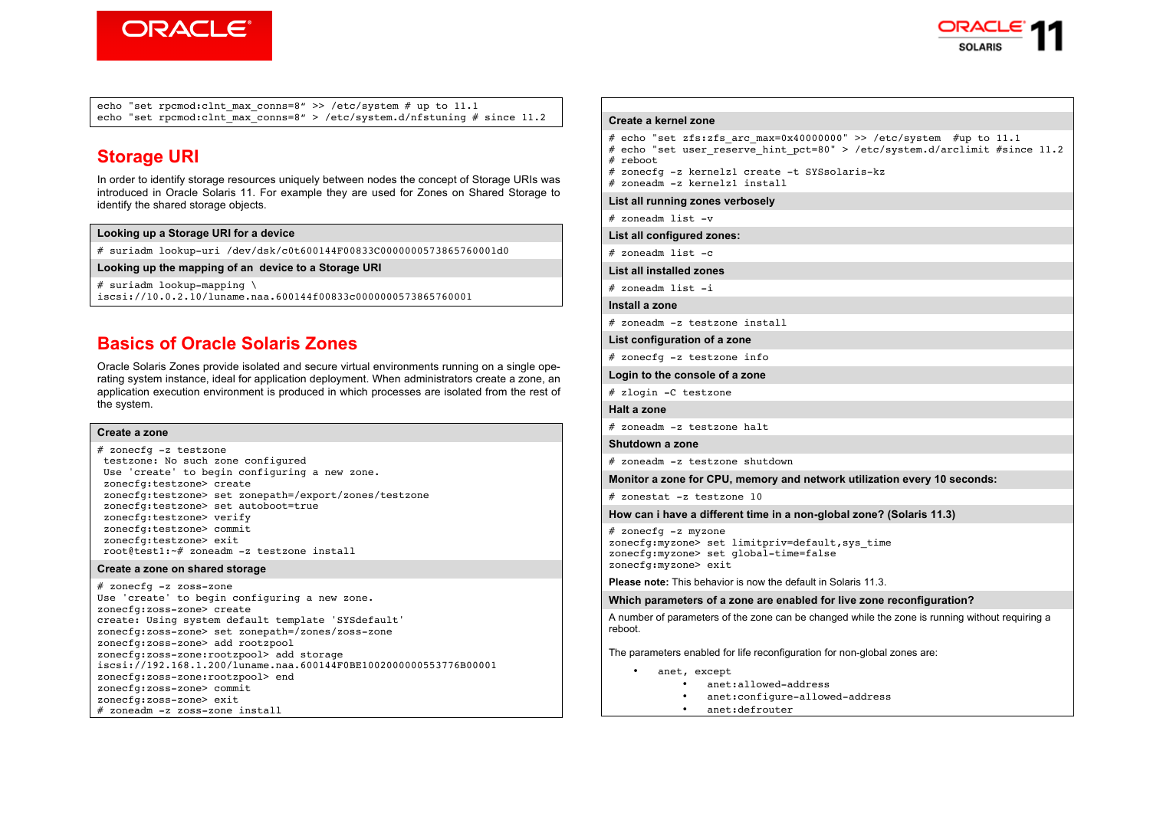



echo "set rpcmod:clnt max conns=8" >> /etc/system # up to  $11.1$ echo "set rpcmod:clnt\_max\_conns=8" > /etc/system.d/nfstuning # since 11.2

# **Storage URI**

In order to identify storage resources uniquely between nodes the concept of Storage URIs was introduced in Oracle Solaris 11. For example they are used for Zones on Shared Storage to identify the shared storage objects.

### **Looking up a Storage URI for a device**

# suriadm lookup-uri /dev/dsk/c0t600144F00833C0000000573865760001d0

**Looking up the mapping of an device to a Storage URI** 

# suriadm lookup-mapping \ iscsi://10.0.2.10/luname.naa.600144f00833c0000000573865760001

## **Basics of Oracle Solaris Zones**

Oracle Solaris Zones provide isolated and secure virtual environments running on a single operating system instance, ideal for application deployment. When administrators create a zone, an application execution environment is produced in which processes are isolated from the rest of the system.

#### **Create a zone**

# zonecfg -z testzone testzone: No such zone configured Use 'create' to begin configuring a new zone. zonecfg:testzone> create zonecfg:testzone> set zonepath=/export/zones/testzone zonecfg:testzone> set autoboot=true zonecfg:testzone> verify zonecfg:testzone> commit zonecfg:testzone> exit root@test1:~# zoneadm -z testzone install

#### **Create a zone on shared storage**

# zonecfg -z zoss-zone Use 'create' to begin configuring a new zone. zonecfg:zoss-zone> create create: Using system default template 'SYSdefault' zonecfg:zoss-zone> set zonepath=/zones/zoss-zone zonecfg:zoss-zone> add rootzpool zonecfg:zoss-zone:rootzpool> add storage iscsi://192.168.1.200/luname.naa.600144F0BE1002000000553776B00001 zonecfg:zoss-zone:rootzpool> end zonecfg:zoss-zone> commit zonecfg:zoss-zone> exit # zoneadm -z zoss-zone install

### **Create a kernel zone**

```
# echo "set zfs:zfs arc max=0x40000000" >> /etc/system #up to 11.1
# echo "set user reserve hint pct=80" > /etc/system.d/arclimit #since 11.2
# reboot
```
- 
- # zonecfg -z kernelz1 create -t SYSsolaris-kz # zoneadm -z kernelz1 install

#### **List all running zones verbosely**

# zoneadm list -v

**List all configured zones:**

 $#$  zoneadm list  $-c$ 

**List all installed zones**

# zoneadm list -i

**Install a zone**

# zoneadm -z testzone install

**List configuration of a zone**

# zonecfg -z testzone info

**Login to the console of a zone**

# zlogin -C testzone

```
Halt a zone
```
# zoneadm -z testzone halt

```
Shutdown a zone
```
# zoneadm -z testzone shutdown

**Monitor a zone for CPU, memory and network utilization every 10 seconds:**

# zonestat -z testzone 10

**How can i have a different time in a non-global zone? (Solaris 11.3)**

```
# zonecfg -z myzone 
zonecfg:myzone> set limitpriv=default,sys_time 
zonecfg:myzone> set global-time=false 
zonecfg:myzone> exit
```
**Please note:** This behavior is now the default in Solaris 11.3.

**Which parameters of a zone are enabled for live zone reconfiguration?**

A number of parameters of the zone can be changed while the zone is running without requiring a reboot.

The parameters enabled for life reconfiguration for non-global zones are:

- anet, except
	- anet:allowed-address
	- anet:configure-allowed-address
	- anet:defrouter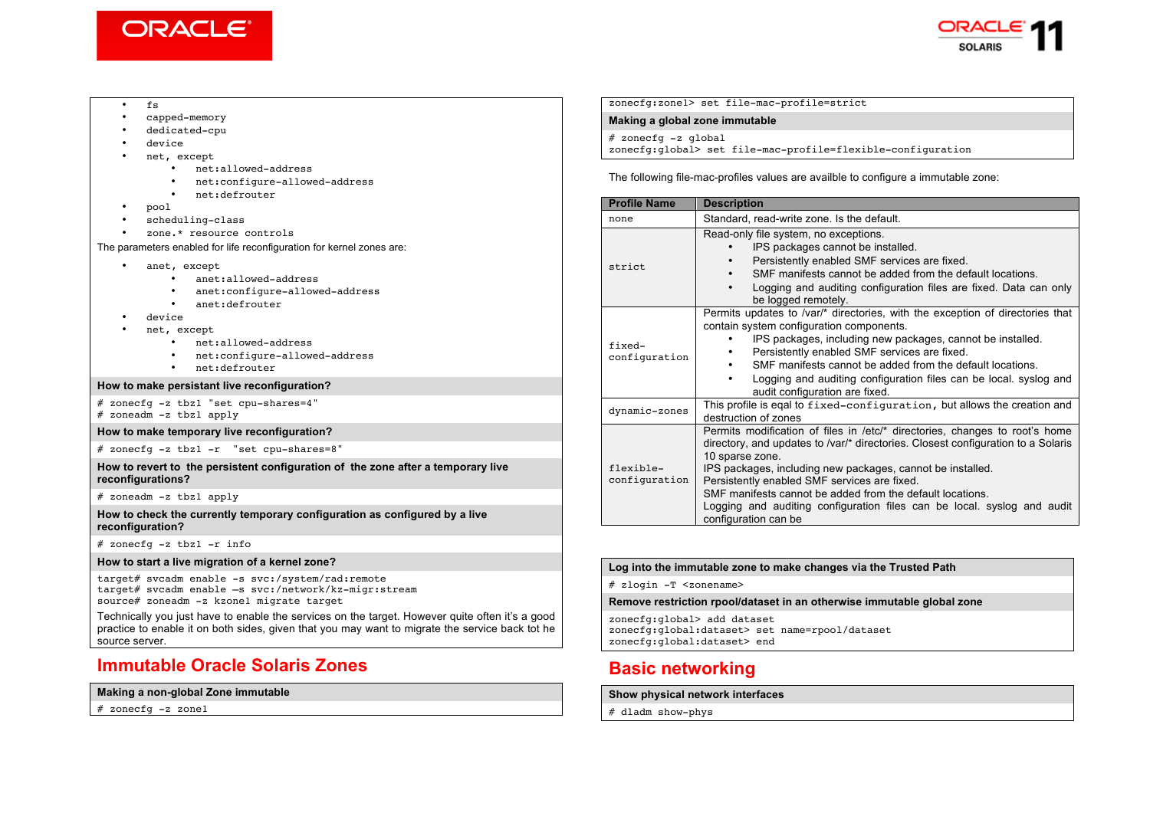



#### • fs

- capped-memory
- dedicated-cpu
- device<br>• net ex
- net, except
	- net:allowed-address
	- net:configure-allowed-address
	- net:defrouter
- pool
- scheduling-class
- zone.\* resource controls

The parameters enabled for life reconfiguration for kernel zones are:

- anet, except
	- anet:allowed-address
	- anet:configure-allowed-address
	- anet:defrouter
- device
- net, except
	- net:allowed-address
	- net:configure-allowed-address
	- net:defrouter

#### **How to make persistant live reconfiguration?**

# zonecfg -z tbz1 "set cpu-shares=4" # zoneadm -z tbz1 apply

#### **How to make temporary live reconfiguration?**

# zonecfg -z tbz1 -r "set cpu-shares=8"

**How to revert to the persistent configuration of the zone after a temporary live reconfigurations?**

# zoneadm -z tbz1 apply

**How to check the currently temporary configuration as configured by a live reconfiguration?**

# zonecfg -z tbz1 -r info

#### **How to start a live migration of a kernel zone?**

target# svcadm enable -s svc:/system/rad:remote target# svcadm enable –s svc:/network/kz-migr:stream source# zoneadm -z kzone1 migrate target

Technically you just have to enable the services on the target. However quite often it's a good practice to enable it on both sides, given that you may want to migrate the service back tot he source server.

## **Immutable Oracle Solaris Zones**

### **Making a non-global Zone immutable**

# zonecfg -z zone1

zonecfg:zone1> set file-mac-profile=strict

**Making a global zone immutable**

# zonecfg -z global

zonecfg:global> set file-mac-profile=flexible-configuration

The following file-mac-profiles values are availble to configure a immutable zone:

| <b>Profile Name</b>        | <b>Description</b>                                                                                                                                                                                                                                                                                                                                                                                                                                               |  |
|----------------------------|------------------------------------------------------------------------------------------------------------------------------------------------------------------------------------------------------------------------------------------------------------------------------------------------------------------------------------------------------------------------------------------------------------------------------------------------------------------|--|
| none                       | Standard, read-write zone. Is the default.                                                                                                                                                                                                                                                                                                                                                                                                                       |  |
| strict                     | Read-only file system, no exceptions.<br>IPS packages cannot be installed.<br>Persistently enabled SMF services are fixed.<br>SMF manifests cannot be added from the default locations.<br>Logging and auditing configuration files are fixed. Data can only<br>be logged remotely.                                                                                                                                                                              |  |
| fixed-<br>configuration    | Permits updates to /var/* directories, with the exception of directories that<br>contain system configuration components.<br>IPS packages, including new packages, cannot be installed.<br>Persistently enabled SMF services are fixed.<br>SMF manifests cannot be added from the default locations.<br>٠<br>Logging and auditing configuration files can be local. syslog and<br>audit configuration are fixed.                                                 |  |
| dynamic-zones              | This profile is eqal to fixed-configuration, but allows the creation and<br>destruction of zones                                                                                                                                                                                                                                                                                                                                                                 |  |
| flexible-<br>configuration | Permits modification of files in /etc/* directories, changes to root's home<br>directory, and updates to /var/* directories. Closest configuration to a Solaris<br>10 sparse zone.<br>IPS packages, including new packages, cannot be installed.<br>Persistently enabled SMF services are fixed.<br>SMF manifests cannot be added from the default locations.<br>Logging and auditing configuration files can be local. syslog and audit<br>configuration can be |  |

#### **Log into the immutable zone to make changes via the Trusted Path**

# zlogin -T <zonename>

### **Remove restriction rpool/dataset in an otherwise immutable global zone**

zonecfg:global> add dataset zonecfg:global:dataset> set name=rpool/dataset zonecfg:global:dataset> end

# **Basic networking**

#### **Show physical network interfaces**

# dladm show-phys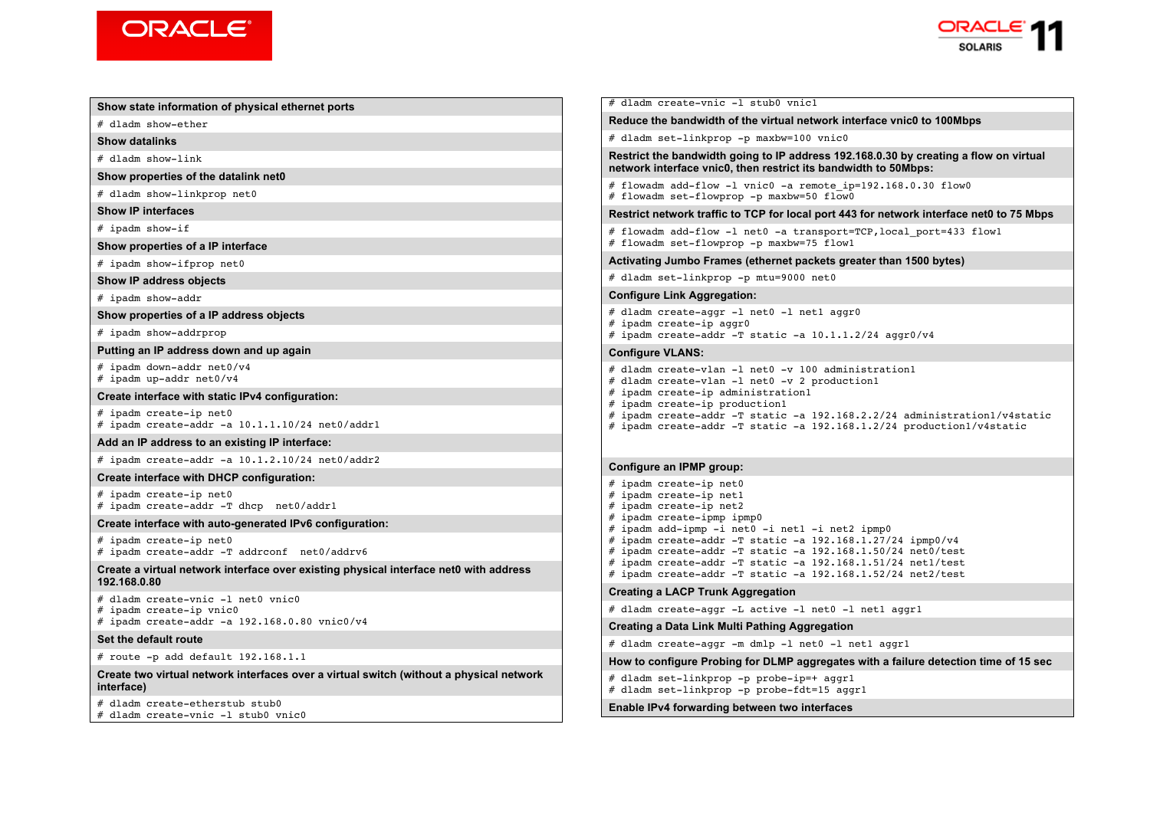



| al ethernet ports                                                                                | # dladm create-vnic -1 stub0 vnic1                                                                                                                                                                                                                                                                         |  |
|--------------------------------------------------------------------------------------------------|------------------------------------------------------------------------------------------------------------------------------------------------------------------------------------------------------------------------------------------------------------------------------------------------------------|--|
|                                                                                                  | Reduce the bandwidth of the virtual network interface vnic0 to 100Mbps                                                                                                                                                                                                                                     |  |
|                                                                                                  | # dladm set-linkprop -p maxbw=100 vnic0                                                                                                                                                                                                                                                                    |  |
| et0                                                                                              | Restrict the bandwidth going to IP address 192.168.0.30 by creating a flow on virtual<br>network interface vnic0, then restrict its bandwidth to 50Mbps:                                                                                                                                                   |  |
|                                                                                                  | # flowadm add-flow -1 vnic0 -a remote ip=192.168.0.30 flow0<br># flowadm set-flowprop -p maxbw=50 flow0                                                                                                                                                                                                    |  |
|                                                                                                  | Restrict network traffic to TCP for local port 443 for network interface net0 to 75 Mbps                                                                                                                                                                                                                   |  |
|                                                                                                  | # flowadm add-flow -1 net0 -a transport=TCP, local port=433 flow1<br># flowadm set-flowprop -p maxbw=75 flow1                                                                                                                                                                                              |  |
|                                                                                                  | Activating Jumbo Frames (ethernet packets greater than 1500 bytes)                                                                                                                                                                                                                                         |  |
|                                                                                                  | # dladm set-linkprop -p mtu=9000 net0                                                                                                                                                                                                                                                                      |  |
|                                                                                                  | <b>Configure Link Aggregation:</b>                                                                                                                                                                                                                                                                         |  |
| bjects                                                                                           | # dladm create-aggr -1 net0 -1 net1 aggr0<br># ipadm create-ip aggr0                                                                                                                                                                                                                                       |  |
| ıp aqain                                                                                         | # ipadm create-addr -T static -a 10.1.1.2/24 aggr0/v4                                                                                                                                                                                                                                                      |  |
|                                                                                                  | <b>Configure VLANS:</b>                                                                                                                                                                                                                                                                                    |  |
| onfiguration:                                                                                    | # dladm create-vlan -1 net0 -v 100 administration1<br># dladm create-vlan -1 net0 -v 2 production1<br># ipadm create-ip administration1<br># ipadm create-ip production1<br># ipadm create-addr -T static -a 192.168.2.2/24 administration1/v4static                                                       |  |
| $1.10/24$ net $0/\text{addr1}$                                                                   | # ipadm create-addr -T static -a 192.168.1.2/24 production1/v4static                                                                                                                                                                                                                                       |  |
| IP interface:                                                                                    |                                                                                                                                                                                                                                                                                                            |  |
| 2.10/24 net0/addr2                                                                               | Configure an IPMP group:                                                                                                                                                                                                                                                                                   |  |
| วุนration:                                                                                       | # ipadm create-ip net0                                                                                                                                                                                                                                                                                     |  |
| net0/addr1                                                                                       | # ipadm create-ip net1<br># ipadm create-ip net2<br># ipadm create-ipmp ipmp0                                                                                                                                                                                                                              |  |
| ted IPv6 configuration:<br>onf net0/addrv6<br>over existing physical interface net0 with address | # ipadm add-ipmp -i net0 -i net1 -i net2 ipmp0<br># ipadm create-addr -T static -a $192.168.1.27/24$ ipmp0/v4<br># ipadm create-addr -T static -a 192.168.1.50/24 net0/test<br>$\#$ ipadm create-addr -T static -a 192.168.1.51/24 net1/test<br># ipadm create-addr -T static -a 192.168.1.52/24 net2/test |  |
|                                                                                                  | <b>Creating a LACP Trunk Aggregation</b>                                                                                                                                                                                                                                                                   |  |
| vnic0                                                                                            | # dladm create-aggr -L active -l net0 -l net1 aggr1                                                                                                                                                                                                                                                        |  |
| 68.0.80 vnic0/v4                                                                                 | Creating a Data Link Multi Pathing Aggregation                                                                                                                                                                                                                                                             |  |
|                                                                                                  | # dladm create-aggr -m dmlp -l net0 -l net1 aggr1                                                                                                                                                                                                                                                          |  |
| 68.1.1                                                                                           | How to configure Probing for DLMP aggregates with a failure detection time of 15 sec                                                                                                                                                                                                                       |  |
| ces over a virtual switch (without a physical network                                            | # dladm set-linkprop -p probe-ip=+ aggr1<br># dladm set-linkprop -p probe-fdt=15 aggr1                                                                                                                                                                                                                     |  |
| b0<br>vnic0                                                                                      | Enable IPv4 forwarding between two interfaces                                                                                                                                                                                                                                                              |  |

**Show state information of physical** 

# dladm show-ether

**Show datalinks**

# dladm show-link

**Show properties of the datalink net** 

# dladm show-linkprop net0

**Show IP interfaces**

# ipadm show-if

**Show properties of a IP interface**

# ipadm show-ifprop net0

**Show IP address objects**

# ipadm show-addr

**Show properties of a IP address of** 

# ipadm show-addrprop

**Putting an IP address down and u** 

# ipadm down-addr net0/v4 # ipadm up-addr net $0/\nu$ 4

**Create interface with static IPv4 configuration** 

# ipadm create-ip net0 # ipadm create-addr -a  $10.1$ .

#### Add an IP address to an existing

# ipadm create-addr -a  $10.1$ .

**Create interface with DHCP configuration** 

# ipadm create-ip net0  $#$  ipadm create-addr -T dhcp

#### **Create interface with auto-generation**

# ipadm create-ip net0  $#$  ipadm create-addr -T addrcom

**Create a virtual network interface 192.168.0.80**

 $#$  dladm create-vnic -l net0

# ipadm create-ip vnic0

# ipadm create-addr -a 192.1

**Set the default route**

# route  $-p$  add default 192.1

**Create two virtual network interfaces interface)**

# dladm create-etherstub stub  $#$  dladm create-vnic -1 stub0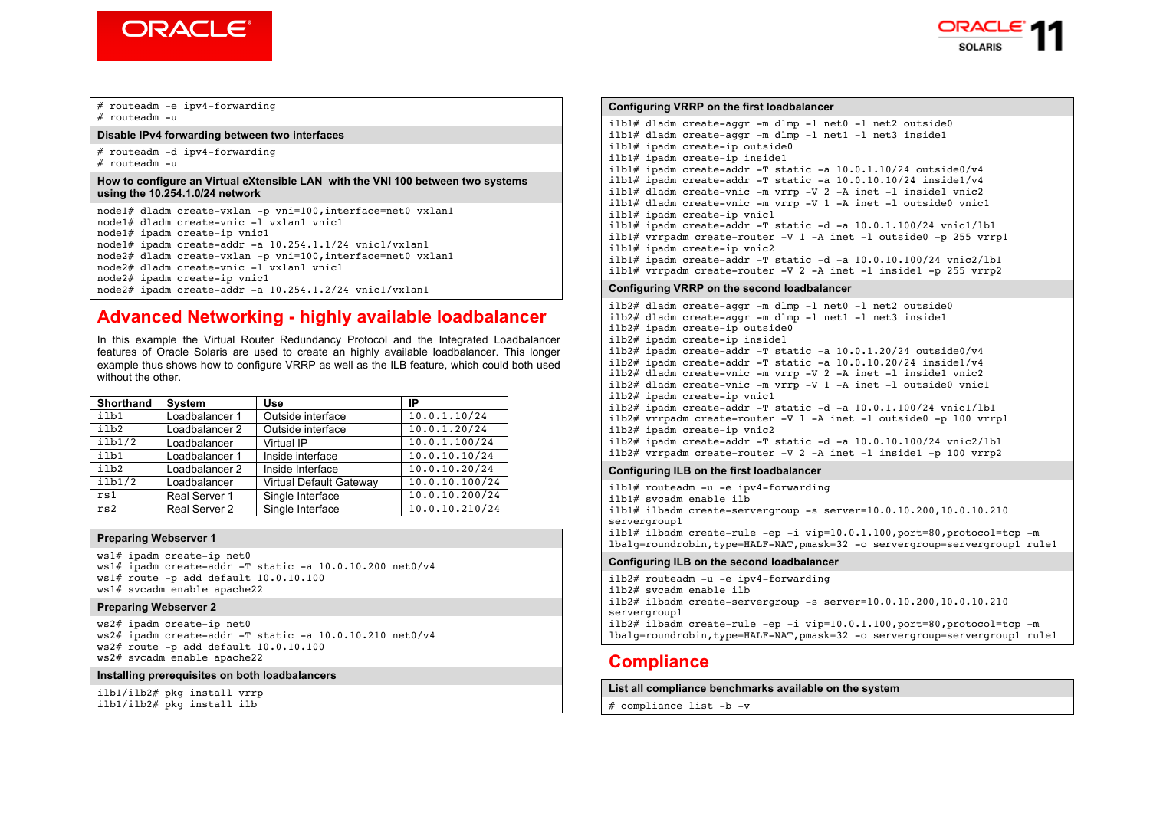



# routeadm -e ipv4-forwarding  $#$  routeadm  $=$ u

### **Disable IPv4 forwarding between two interfaces**

# routeadm -d ipv4-forwarding # routeadm -u

#### **How to configure an Virtual eXtensible LAN with the VNI 100 between two systems using the 10.254.1.0/24 network**

node1# dladm create-vxlan -p vni=100,interface=net0 vxlan1 node1# dladm create-vnic -l vxlan1 vnic1 node1# ipadm create-ip vnic1 node1# ipadm create-addr -a  $10.254.1.1/24$  vnic1/vxlan1 node2# dladm create-vxlan -p vni=100,interface=net0 vxlan1 node2# dladm create-vnic -l vxlan1 vnic1 node2# ipadm create-ip vnic1 node2# ipadm create-addr -a 10.254.1.2/24 vnic1/vxlan1

# **Advanced Networking - highly available loadbalancer**

In this example the Virtual Router Redundancy Protocol and the Integrated Loadbalancer features of Oracle Solaris are used to create an highly available loadbalancer. This longer example thus shows how to configure VRRP as well as the ILB feature, which could both used without the other.

| <b>Shorthand</b> | <b>System</b>  | <b>Use</b>                     | ΙP             |
|------------------|----------------|--------------------------------|----------------|
| ilb1             | Loadbalancer 1 | Outside interface              | 10.0.1.10/24   |
| ilb2             | Loadbalancer 2 | Outside interface              | 10.0.1.20/24   |
| ilb1/2           | Loadbalancer   | Virtual IP                     | 10.0.1.100/24  |
| ilb1             | Loadbalancer 1 | Inside interface               | 10.0.10.10/24  |
| ilb2             | Loadbalancer 2 | Inside Interface               | 10.0.10.20/24  |
| ilb1/2           | Loadbalancer   | <b>Virtual Default Gatewav</b> | 10.0.10.100/24 |
| rs1              | Real Server 1  | Single Interface               | 10.0.10.200/24 |
| rs2              | Real Server 2  | Single Interface               | 10.0.10.210/24 |

### **Preparing Webserver 1**

ws1# ipadm create-ip net0 ws1# ipadm create-addr -T static -a 10.0.10.200 net0/v4 ws1# route -p add default 10.0.10.100 ws1# svcadm enable apache22

### **Preparing Webserver 2**

ws2# ipadm create-ip net0 ws2# ipadm create-addr -T static -a 10.0.10.210 net0/v4  $ws2#$  route  $-p$  add default  $10.0.10.100$ ws2# svcadm enable apache22

#### **Installing prerequisites on both loadbalancers**

ilb1/ilb2# pkg install vrrp ilb1/ilb2# pkg install ilb

**Configuring VRRP on the first loadbalancer** ilb1# dladm create-aggr -m dlmp -l net0 -l net2 outside0 ilb1# dladm create-aggr -m dlmp -l net1 -l net3 inside1 ilb1# ipadm create-ip outside0 ilb1# ipadm create-ip inside1 ilb1# ipadm create-addr -T static -a 10.0.1.10/24 outside0/v4 ilb1# ipadm create-addr -T static -a 10.0.10.10/24 inside1/v4 ilb1# dladm create-vnic -m vrrp -V 2 -A inet -l inside1 vnic2 ilb1# dladm create-vnic -m vrrp -V 1 -A inet -l outside0 vnic1 ilb1# ipadm create-ip vnic1 ilb1# ipadm create-addr  $-T$  static  $-d$  -a  $10.0.1.100/24$  vnic1/lb1 ilb1# vrrpadm create-router -V 1 -A inet -l outside0 -p 255 vrrp1 ilb1# ipadm create-ip vnic2 ilb1# ipadm create-addr  $-T$  static -d -a  $10.0.10.100/24$  vnic2/lb1 ilb1# vrrpadm create-router -V 2 -A inet -l inside1 -p 255 vrrp2 **Configuring VRRP on the second loadbalancer** ilb2# dladm create-aggr -m dlmp -l net0 -l net2 outside0 ilb2# dladm create-aggr -m dlmp -l net1 -l net3 inside1 ilb2# ipadm create-ip outside0 ilb2# ipadm create-ip inside1 ilb2# ipadm create-addr  $-T$  static -a  $10.0.1.20/24$  outside0/v4 ilb2# ipadm create-addr  $-T$  static  $-a$  10.0.10.20/24 inside1/v4 ilb2# dladm create-vnic -m vrrp -V 2 -A inet -l inside1 vnic2  $i1b2#$  dladm create-vnic -m vrrp  $-V$  1 -A inet -l outside0 vnic1 ilb2# ipadm create-ip vnic1  $i1b2#$  ipadm create-addr -T static -d -a  $10.0.1.100/24$  vnic1/1b1 ilb2# vrrpadm create-router -V 1 -A inet -l outside0 -p 100 vrrp1 ilb2# ipadm create-ip vnic2 ilb2# ipadm create-addr -T static -d -a 10.0.10.100/24 vnic2/lb1 ilb2# vrrpadm create-router -V 2 -A inet -l inside1 -p 100 vrrp2 **Configuring ILB on the first loadbalancer** ilb1# routeadm -u -e ipv4-forwarding ilb1# svcadm enable ilb  $i1b1# i1badm create-servergroup -s server=10.0.10.200.10.0.10.210$ servergroup1 ilb1# ilbadm create-rule -ep -i vip=10.0.1.100,port=80,protocol=tcp -m lbalg=roundrobin,type=HALF-NAT,pmask=32 -o servergroup=servergroup1 rule1

#### **Configuring ILB on the second loadbalancer**

ilb2# routeadm -u -e ipv4-forwarding ilb2# svcadm enable ilb  $i1b2# i1badm create-servergroup -s server=10.0.10.200.10.0.10.210$ servergroup1 ilb2# ilbadm create-rule -ep -i vip=10.0.1.100,port=80,protocol=tcp -m lbalg=roundrobin,type=HALF-NAT,pmask=32 -o servergroup=servergroup1 rule1

## **Compliance**

#### **List all compliance benchmarks available on the system**

# compliance list -b -v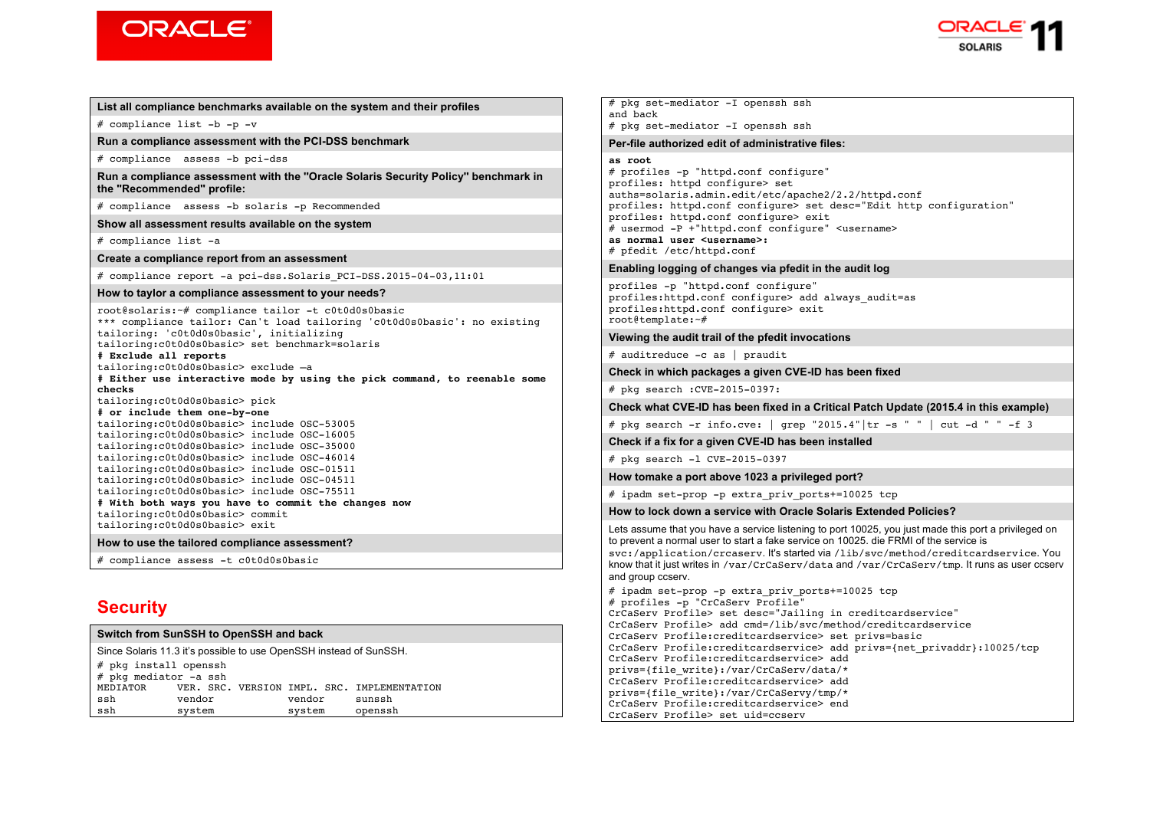



### **List all compliance benchmarks available on the system and their profiles**  # compliance list -b -p -v **Run a compliance assessment with the PCI-DSS benchmark** # compliance assess -b pci-dss **Run a compliance assessment with the ''Oracle Solaris Security Policy'' benchmark in the ''Recommended'' profile:** # compliance assess -b solaris -p Recommended **Show all assessment results available on the system** # compliance list -a **Create a compliance report from an assessment** # compliance report -a pci-dss.Solaris\_PCI-DSS.2015-04-03,11:01 **How to taylor a compliance assessment to your needs?** root@solaris:~# compliance tailor -t c0t0d0s0basic \*\*\* compliance tailor: Can't load tailoring 'c0t0d0s0basic': no existing tailoring: 'c0t0d0s0basic', initializing tailoring:c0t0d0s0basic> set benchmark=solaris **# Exclude all reports** tailoring:c0t0d0s0basic> exclude –a **# Either use interactive mode by using the pick command, to reenable some checks** tailoring:c0t0d0s0basic> pick **# or include them one-by-one** tailoring:c0t0d0s0basic> include OSC-53005 tailoring:c0t0d0s0basic> include OSC-16005 tailoring:c0t0d0s0basic> include OSC-35000 tailoring:c0t0d0s0basic> include OSC-46014 tailoring:c0t0d0s0basic> include OSC-01511 tailoring:c0t0d0s0basic> include OSC-04511 tailoring:c0t0d0s0basic> include OSC-75511 **# With both ways you have to commit the changes now** tailoring:c0t0d0s0basic> commit tailoring:c0t0d0s0basic> exit **How to use the tailored compliance assessment?** # compliance assess -t c0t0d0s0basic **Security Switch from SunSSH to OpenSSH and back**

| Since Solaris 11.3 it's possible to use OpenSSH instead of SunSSH. |        |  |  |        |                                             |
|--------------------------------------------------------------------|--------|--|--|--------|---------------------------------------------|
| # pkg install openssh                                              |        |  |  |        |                                             |
| # pkg mediator -a ssh                                              |        |  |  |        |                                             |
| MEDIATOR                                                           |        |  |  |        | VER. SRC. VERSION IMPL. SRC. IMPLEMENTATION |
| ssh                                                                | vendor |  |  | vendor | sunssh                                      |
| ssh                                                                | system |  |  | system | openssh                                     |

# pkg set-mediator -I openssh ssh and back # pkg set-mediator -I openssh ssh **Per-file authorized edit of administrative files: as root** # profiles -p "httpd.conf configure" profiles: httpd configure> set auths=solaris.admin.edit/etc/apache2/2.2/httpd.conf profiles: httpd.conf configure> set desc="Edit http configuration" profiles: httpd.conf configure> exit # usermod -P +"httpd.conf configure" <username> **as normal user <username>:**  # pfedit /etc/httpd.conf **Enabling logging of changes via pfedit in the audit log** profiles -p "httpd.conf configure" profiles: httpd.conf configure> add always audit=as profiles:httpd.conf configure> exit root@template:~# **Viewing the audit trail of the pfedit invocations** # auditreduce -c as | praudit **Check in which packages a given CVE-ID has been fixed** # pkg search :CVE-2015-0397: **Check what CVE-ID has been fixed in a Critical Patch Update (2015.4 in this example)** # pkg search -r info.cve: | grep "2015.4" | tr -s " " | cut -d " " -f 3 **Check if a fix for a given CVE-ID has been installed** # pkg search -l CVE-2015-0397 **How tomake a port above 1023 a privileged port?** # ipadm set-prop -p extra\_priv\_ports+=10025 tcp **How to lock down a service with Oracle Solaris Extended Policies?** Lets assume that you have a service listening to port 10025, you just made this port a privileged on to prevent a normal user to start a fake service on 10025. die FRMI of the service is svc:/application/crcaserv. It's started via /lib/svc/method/creditcardservice. You know that it just writes in /var/CrCaServ/data and /var/CrCaServ/tmp. It runs as user ccserv and group ccserv. # ipadm set-prop -p extra\_priv\_ports+=10025 tcp # profiles -p "CrCaServ Profile" CrCaServ Profile> set desc="Jailing in creditcardservice" CrCaServ Profile> add cmd=/lib/svc/method/creditcardservice CrCaServ Profile:creditcardservice> set privs=basic CrCaServ Profile:creditcardservice> add privs={net\_privaddr}:10025/tcp CrCaServ Profile:creditcardservice> add privs={file\_write}:/var/CrCaServ/data/\*

CrCaServ Profile:creditcardservice> add privs={file\_write}:/var/CrCaServy/tmp/\* CrCaServ Profile:creditcardservice> end

CrCaServ Profile> set uid=ccserv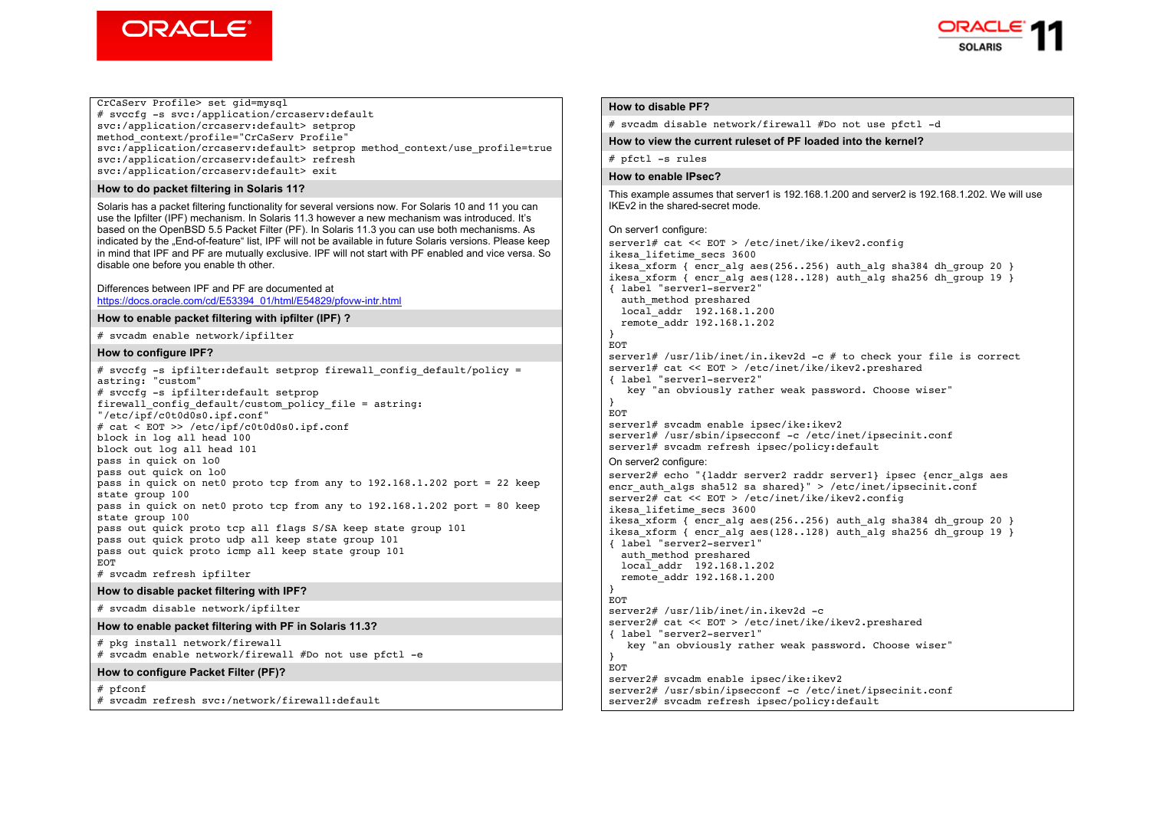



### CrCaServ Profile> set gid=mysql

# svccfg -s svc:/application/crcaserv:default svc:/application/crcaserv:default> setprop method\_context/profile="CrCaServ Profile" svc:/application/crcaserv:default> setprop method\_context/use\_profile=true svc:/application/crcaserv:default> refresh svc:/application/crcaserv:default> exit

#### **How to do packet filtering in Solaris 11?**

Solaris has a packet filtering functionality for several versions now. For Solaris 10 and 11 you can use the Ipfilter (IPF) mechanism. In Solaris 11.3 however a new mechanism was introduced. It's based on the OpenBSD 5.5 Packet Filter (PF). In Solaris 11.3 you can use both mechanisms. As indicated by the "End-of-feature" list, IPF will not be available in future Solaris versions. Please keep in mind that IPF and PF are mutually exclusive. IPF will not start with PF enabled and vice versa. So disable one before you enable th other.

#### Differences between IPF and PF are documented at https://docs.oracle.com/cd/E53394\_01/html/E54829/pfovw-intr.html

#### **How to enable packet filtering with ipfilter (IPF) ?**

# svcadm enable network/ipfilter

#### **How to configure IPF?**

# svccfq -s ipfilter:default setprop firewall config default/policy = astring: "custom" # svccfg -s ipfilter:default setprop firewall\_config\_default/custom\_policy\_file = astring: "/etc/ipf/c0t0d0s0.ipf.conf" # cat < EOT >> /etc/ipf/c0t0d0s0.ipf.conf block in log all head 100 block out log all head 101 pass in quick on lo0 pass out quick on lo0 pass in quick on net0 proto tcp from any to  $192.168.1.202$  port = 22 keep  $stat$ e group 100 pass in quick on net0 proto tcp from any to 192.168.1.202 port = 80 keep  $stat$ e group 100 pass out quick proto tcp all flags S/SA keep state group 101 pass out quick proto udp all keep state group 101 pass out quick proto icmp all keep state group 101 **EOT** # svcadm refresh ipfilter

### **How to disable packet filtering with IPF?**

# svcadm disable network/ipfilter

#### **How to enable packet filtering with PF in Solaris 11.3?**

# pkg install network/firewall # svcadm enable network/firewall #Do not use pfctl -e

#### **How to configure Packet Filter (PF)?**

# pfconf

# svcadm refresh svc:/network/firewall:default

#### **How to disable PF?**

# svcadm disable network/firewall #Do not use pfctl -d

#### **How to view the current ruleset of PF loaded into the kernel?**

 $#$  pfctl  $-s$  rules

#### **How to enable IPsec?**

This example assumes that server1 is 192.168.1.200 and server2 is 192.168.1.202. We will use IKEv2 in the shared-secret mode.

#### On server1 configure:

server1# cat << EOT > /etc/inet/ike/ikev2.config ikesa\_lifetime\_secs 3600 ikesa\_xform { encr alg aes(256..256) auth alg sha384 dh group 20 } ikesa $\overline{x}$ form { encr alg aes(128..128) auth alg sha256 dh\_group 19 } { label "server1-server2" auth method preshared  $local$  addr  $192.168.1.200$  remote\_addr 192.168.1.202  $\overline{ }$ **EOT** server1# /usr/lib/inet/in.ikev2d -c # to check your file is correct server1# cat << EOT > /etc/inet/ike/ikev2.preshared { label "server1-server2" key "an obviously rather weak password. Choose wiser" } **EOT** server1# svcadm enable ipsec/ike:ikev2 server1# /usr/sbin/ipsecconf -c /etc/inet/ipsecinit.conf server1# svcadm refresh ipsec/policy:default On server2 configure: server2# echo "{laddr server2 raddr server1} ipsec {encr\_algs aes encr auth algs sha512 sa shared}" > /etc/inet/ipsecinit.conf server2# cat << EOT > /etc/inet/ike/ikev2.config ikesa\_lifetime\_secs 3600 ikesa<sup>-xform</sup> { encr alg aes(256..256) auth alg sha384 dh group 20 } ikesa xform { encr\_alg aes(128..128) auth alg sha256 dh\_group 19 } { label "server2-server1" auth\_method preshared local\_addr 192.168.1.202 remote\_addr 192.168.1.200 }  $EOP$ server2# /usr/lib/inet/in.ikev2d -c server2# cat << EOT > /etc/inet/ike/ikev2.preshared { label "server2-server1" key "an obviously rather weak password. Choose wiser" } **EOT** server2# svcadm enable ipsec/ike:ikev2 server2# /usr/sbin/ipsecconf -c /etc/inet/ipsecinit.conf server2# svcadm refresh ipsec/policy:default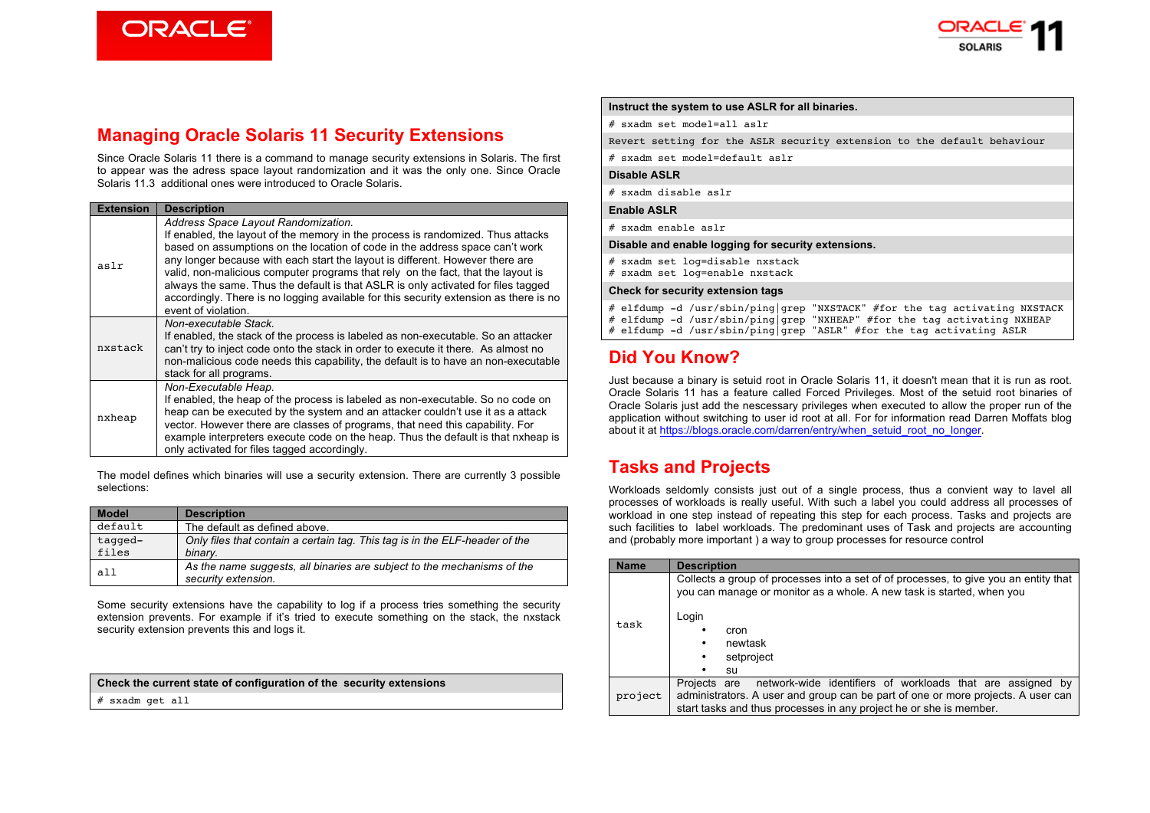**ORACLE®** 



### **Managing Oracle Solaris 11 Security Extensions**

Since Oracle Solaris 11 there is a command to manage security extensions in Solaris. The first to appear was the adress space layout randomization and it was the only one. Since Oracle Solaris 11.3 additional ones were introduced to Oracle Solaris.

| <b>Extension</b> | <b>Description</b>                                                                                                                                                                                                                                                                                                                                                                                                                                                                                                                                                               |
|------------------|----------------------------------------------------------------------------------------------------------------------------------------------------------------------------------------------------------------------------------------------------------------------------------------------------------------------------------------------------------------------------------------------------------------------------------------------------------------------------------------------------------------------------------------------------------------------------------|
| aslr             | Address Space Layout Randomization.<br>If enabled, the layout of the memory in the process is randomized. Thus attacks<br>based on assumptions on the location of code in the address space can't work<br>any longer because with each start the layout is different. However there are<br>valid, non-malicious computer programs that rely on the fact, that the layout is<br>always the same. Thus the default is that ASLR is only activated for files tagged<br>accordingly. There is no logging available for this security extension as there is no<br>event of violation. |
| nxstack          | Non-executable Stack.<br>If enabled, the stack of the process is labeled as non-executable. So an attacker<br>can't try to inject code onto the stack in order to execute it there. As almost no<br>non-malicious code needs this capability, the default is to have an non-executable<br>stack for all programs.                                                                                                                                                                                                                                                                |
| nxheap           | Non-Executable Heap.<br>If enabled, the heap of the process is labeled as non-executable. So no code on<br>heap can be executed by the system and an attacker couldn't use it as a attack<br>vector. However there are classes of programs, that need this capability. For<br>example interpreters execute code on the heap. Thus the default is that nxheap is<br>only activated for files tagged accordingly.                                                                                                                                                                  |

The model defines which binaries will use a security extension. There are currently 3 possible selections:

| <b>Model</b>     | <b>Description</b>                                                                             |
|------------------|------------------------------------------------------------------------------------------------|
| default          | The default as defined above.                                                                  |
| tagged-<br>files | Only files that contain a certain tag. This tag is in the ELF-header of the<br>binary.         |
| a11              | As the name suggests, all binaries are subject to the mechanisms of the<br>security extension. |

Some security extensions have the capability to log if a process tries something the security extension prevents. For example if it's tried to execute something on the stack, the nxstack security extension prevents this and logs it.

**Check the current state of configuration of the security extensions**

# sxadm get all

#### **Instruct the system to use ASLR for all binaries.**

# sxadm set model=all aslr

Revert setting for the ASLR security extension to the default behaviour

# sxadm set model=default aslr

#### **Disable ASLR**

# sxadm disable aslr

### **Enable ASLR**

# sxadm enable aslr

**Disable and enable logging for security extensions.**

# sxadm set log=disable nxstack

# sxadm set log=enable nxstack

#### **Check for security extension tags**

- # elfdump -d /usr/sbin/ping|grep "NXSTACK" #for the tag activating NXSTACK
- # elfdump -d /usr/sbin/ping|grep "NXHEAP" #for the tag activating NXHEAP
- # elfdump -d /usr/sbin/ping|grep "ASLR" #for the tag activating ASLR

## **Did You Know?**

Just because a binary is setuid root in Oracle Solaris 11, it doesn't mean that it is run as root. Oracle Solaris 11 has a feature called Forced Privileges. Most of the setuid root binaries of Oracle Solaris just add the nescessary privileges when executed to allow the proper run of the application without switching to user id root at all. For for information read Darren Moffats blog about it at https://blogs.oracle.com/darren/entry/when\_setuid\_root\_no\_longer.

## **Tasks and Projects**

Workloads seldomly consists just out of a single process, thus a convient way to lavel all processes of workloads is really useful. With such a label you could address all processes of workload in one step instead of repeating this step for each process. Tasks and projects are such facilities to label workloads. The predominant uses of Task and projects are accounting and (probably more important ) a way to group processes for resource control

| <b>Name</b> | <b>Description</b>                                                                                                                                                                                                                   |
|-------------|--------------------------------------------------------------------------------------------------------------------------------------------------------------------------------------------------------------------------------------|
| task        | Collects a group of processes into a set of of processes, to give you an entity that<br>you can manage or monitor as a whole. A new task is started, when you<br>Login<br>cron<br>٠<br>newtask<br>٠<br>setproject<br>٠<br>su         |
| project     | network-wide identifiers of workloads that are assigned by<br>Projects are<br>administrators. A user and group can be part of one or more projects. A user can<br>start tasks and thus processes in any project he or she is member. |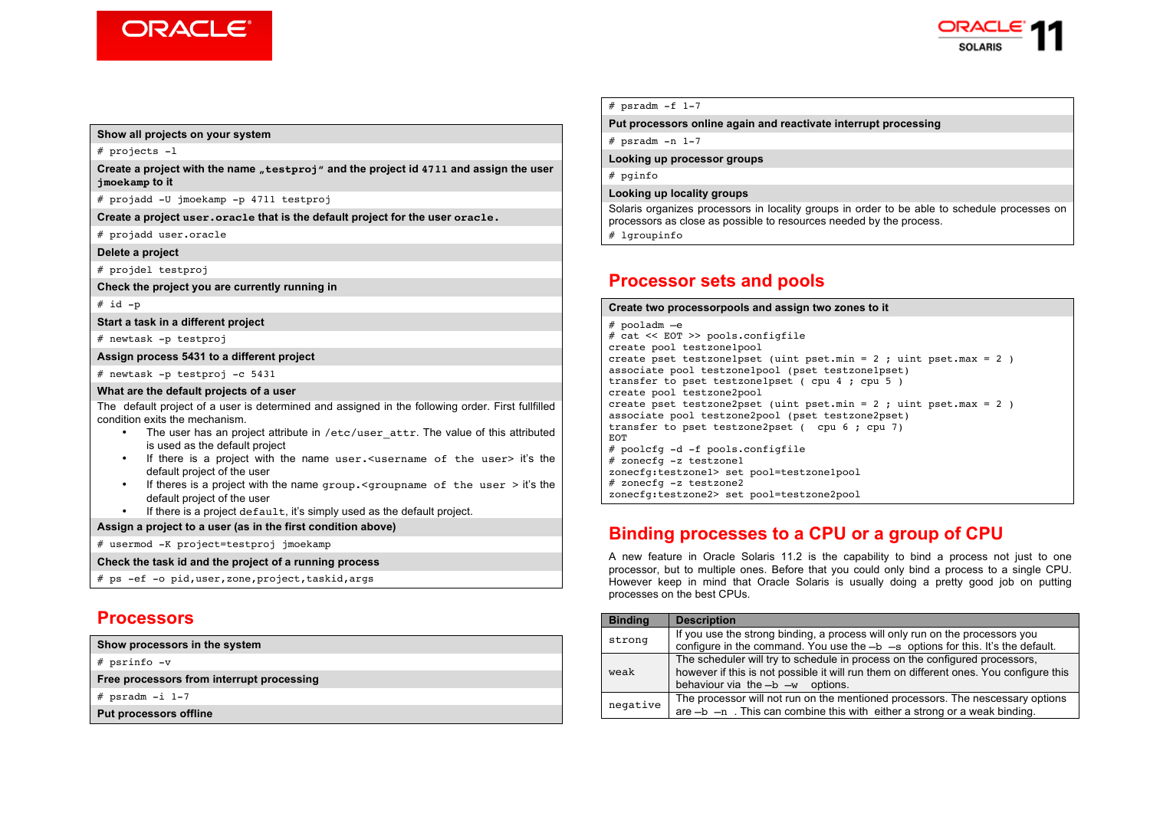



#### **Show all projects on your system**

# projects -l

**Create a project with the name "testproj" and the project id 4711 and assign the user jmoekamp to it**

# projadd -U jmoekamp -p 4711 testproj

**Create a project user.oracle that is the default project for the user oracle.**

# projadd user.oracle

**Delete a project**

# projdel testproj

**Check the project you are currently running in**

 $# id -p$ 

**Start a task in a different project**

# newtask -p testproj

**Assign process 5431 to a different project**

# newtask -p testproj -c 5431

#### **What are the default projects of a user**

The default project of a user is determined and assigned in the following order. First fullfilled condition exits the mechanism.

- The user has an project attribute in /etc/user\_attr. The value of this attributed is used as the default project
- If there is a project with the name user. <username of the user> it's the default project of the user
- If theres is a project with the name group.<groupname of the user > it's the default project of the user
- If there is a project default, it's simply used as the default project.

**Assign a project to a user (as in the first condition above)**

# usermod -K project=testproj jmoekamp

**Check the task id and the project of a running process**

# ps -ef -o pid,user,zone,project,taskid,args

### **Processors**

**Show processors in the system**

# psrinfo -v

**Free processors from interrupt processing**

 $#$  psradm  $-i$  1-7

**Put processors offline**

 $#$  psradm  $-f$  1-7

### **Put processors online again and reactivate interrupt processing**

 $#$  psradm  $-n$  1-7

**Looking up processor groups**

# pginfo

#### **Looking up locality groups**

Solaris organizes processors in locality groups in order to be able to schedule processes on processors as close as possible to resources needed by the process. # lgroupinfo

## **Processor sets and pools**

### **Create two processorpools and assign two zones to it** # pooladm –e # cat << EOT >> pools.configfile create pool testzone1pool create pset testzonelpset (uint pset.min = 2 ; uint pset.max = 2 ) associate pool testzone1pool (pset testzone1pset)

transfer to pset testzone1pset ( cpu 4 ; cpu 5 ) create pool testzone2pool create pset testzone2pset (uint pset.min =  $2$  ; uint pset.max =  $2$  ) associate pool testzone2pool (pset testzone2pset) transfer to pset testzone2pset ( cpu 6 ; cpu 7) **EOT** # poolcfg -d -f pools.configfile # zonecfg -z testzone1 zonecfg:testzone1> set pool=testzone1pool

# zonecfg -z testzone2

zonecfg:testzone2> set pool=testzone2pool

## **Binding processes to a CPU or a group of CPU**

A new feature in Oracle Solaris 11.2 is the capability to bind a process not just to one processor, but to multiple ones. Before that you could only bind a process to a single CPU. However keep in mind that Oracle Solaris is usually doing a pretty good job on putting processes on the best CPUs.

| <b>Binding</b> | <b>Description</b>                                                                                                                                                                                            |
|----------------|---------------------------------------------------------------------------------------------------------------------------------------------------------------------------------------------------------------|
| strong         | If you use the strong binding, a process will only run on the processors you<br>configure in the command. You use the $-b$ $-s$ options for this. It's the default.                                           |
| weak           | The scheduler will try to schedule in process on the configured processors,<br>however if this is not possible it will run them on different ones. You configure this<br>behaviour via the $-b$ $-w$ options. |
| negative       | The processor will not run on the mentioned processors. The nescessary options<br>are $-b$ $-n$ . This can combine this with either a strong or a weak binding.                                               |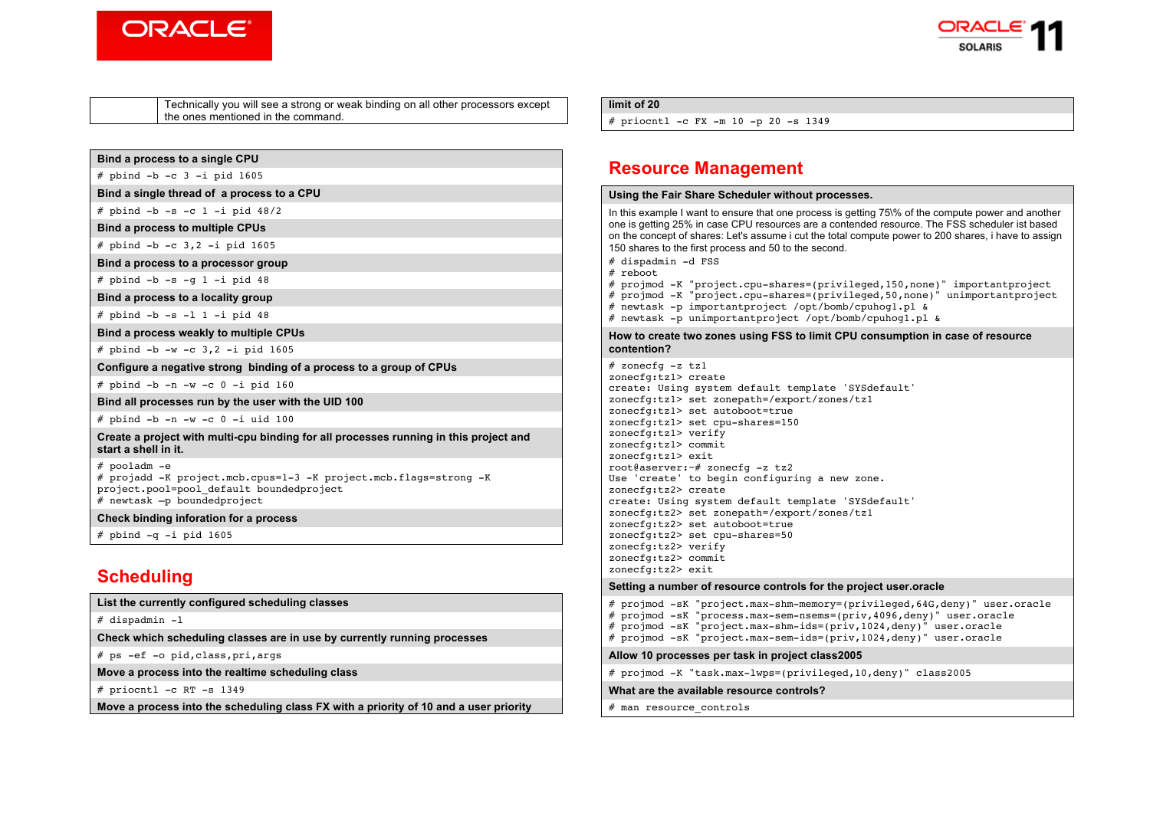



Technically you will see a strong or weak binding on all other processors except the ones mentioned in the command.

#### **Bind a process to a single CPU**

 $#$  pbind  $-b$   $-c$  3  $-i$  pid 1605

**Bind a single thread of a process to a CPU**

 $#$  pbind  $-b$   $-s$   $-c$   $1 - i$  pid  $48/2$ 

**Bind a process to multiple CPUs**

# pbind -b -c 3,2 -i pid 1605

### **Bind a process to a processor group**

 $#$  pbind  $-b$  -s -g 1 -i pid 48

**Bind a process to a locality group**

 $#$  pbind  $-b$  -s  $-1$  1  $-i$  pid 48

**Bind a process weakly to multiple CPUs**

# pbind -b -w -c 3,2 -i pid 1605

**Configure a negative strong binding of a process to a group of CPUs**

 $#$  pbind  $-b$   $-n$   $-w$   $-c$   $0$   $-i$  pid 160

**Bind all processes run by the user with the UID 100**

 $#$  pbind  $-b$   $-n$   $-w$   $-c$   $0$   $-i$  uid 100

**Create a project with multi-cpu binding for all processes running in this project and start a shell in it.**

# pooladm -e

# projadd -K project.mcb.cpus=1-3 -K project.mcb.flags=strong -K project.pool=pool\_default boundedproject  $#$  newtask  $-p$  boundedproject

**Check binding inforation for a process**

 $#$  pbind  $-a$  -i pid 1605

## **Scheduling**

**List the currently configured scheduling classes**

# dispadmin -l

**Check which scheduling classes are in use by currently running processes**

# ps -ef -o pid,class,pri,args

**Move a process into the realtime scheduling class**

# priocntl -c RT -s 1349

**Move a process into the scheduling class FX with a priority of 10 and a user priority** 

#### **limit of 20**

# priocntl -c FX -m 10 -p 20 -s 1349

## **Resource Management**

#### **Using the Fair Share Scheduler without processes.**

In this example I want to ensure that one process is getting 75\% of the compute power and another one is getting 25% in case CPU resources are a contended resource. The FSS scheduler ist based on the concept of shares: Let's assume i cut the total compute power to 200 shares, i have to assign 150 shares to the first process and 50 to the second. # dispadmin -d FSS

# reboot

# projmod -K "project.cpu-shares=(privileged,150,none)" importantproject # projmod -K "project.cpu-shares=(privileged,50,none)" unimportantproject

- # newtask -p importantproject /opt/bomb/cpuhog1.pl &
- # newtask -p unimportantproject /opt/bomb/cpuhog1.pl &

#### **How to create two zones using FSS to limit CPU consumption in case of resource contention?**

 $#$  zonecfg  $-z$  tzl zonecfg:tz1> create create: Using system default template 'SYSdefault' zonecfg:tz1> set zonepath=/export/zones/tz1 zonecfg:tz1> set autoboot=true zonecfg:tz1> set cpu-shares=150 zonecfg:tz1> verify zonecfg:tz1> commit zonecfg:tz1> exit root@aserver:~# zonecfg -z tz2 Use 'create' to begin configuring a new zone. zonecfg:tz2> create create: Using system default template 'SYSdefault' zonecfg:tz2> set zonepath=/export/zones/tz1 zonecfg:tz2> set autoboot=true zonecfg:tz2> set cpu-shares=50 zonecfg:tz2> verify zonecfg:tz2> commit zonecfg:tz2> exit

#### **Setting a number of resource controls for the project user.oracle**

```
# projmod -sK "project.max-shm-memory=(privileged,64G,deny)" user.oracle 
# projmod -sK "process.max-sem-nsems=(priv,4096,deny)" user.oracle 
# projmod -sK "project.max-shm-ids=(priv,1024,deny)" user.oracle
# projmod -sK "project.max-sem-ids=(priv,1024,deny)" user.oracle 
Allow 10 processes per task in project class2005
# projmod -K "task.max-lwps=(privileged,10,deny)" class2005
What are the available resource controls?
```
# man resource\_controls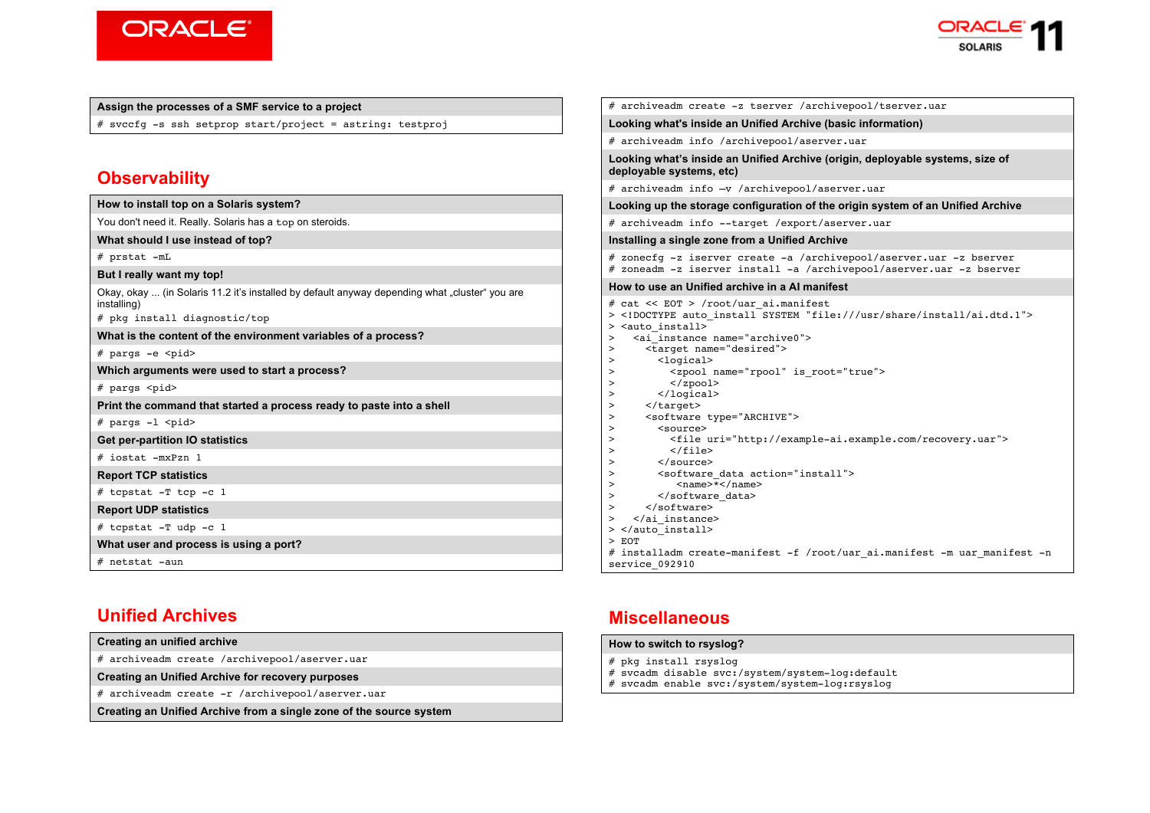



### **Assign the processes of a SMF service to a project**

# svccfg -s ssh setprop start/project = astring: testproj

## **Observability**

| How to install top on a Solaris system?                                                                                                       |
|-----------------------------------------------------------------------------------------------------------------------------------------------|
| You don't need it. Really. Solaris has a top on steroids.                                                                                     |
| What should I use instead of top?                                                                                                             |
| $#$ prstat $-mL$                                                                                                                              |
| But I really want my top!                                                                                                                     |
| Okay, okay  (in Solaris 11.2 it's installed by default anyway depending what "cluster" you are<br>installing)<br># pkg install diagnostic/top |
| What is the content of the environment variables of a process?                                                                                |
| # pargs -e <pid></pid>                                                                                                                        |
| Which arguments were used to start a process?                                                                                                 |
| # pargs <pid></pid>                                                                                                                           |
| Print the command that started a process ready to paste into a shell                                                                          |
| $#$ pargs $-1$ <pid></pid>                                                                                                                    |
| <b>Get per-partition IO statistics</b>                                                                                                        |
| # iostat -mxPzn 1                                                                                                                             |
| <b>Report TCP statistics</b>                                                                                                                  |
| # tcpstat $-T$ tcp $-c$ 1                                                                                                                     |
| <b>Report UDP statistics</b>                                                                                                                  |
| $#$ tcpstat -T udp -c 1                                                                                                                       |
| What user and process is using a port?                                                                                                        |
| # netstat -aun                                                                                                                                |

# **Unified Archives**

| Creating an unified archive                                         |  |  |
|---------------------------------------------------------------------|--|--|
| # archiveadm create /archivepool/aserver.uar                        |  |  |
| Creating an Unified Archive for recovery purposes                   |  |  |
| # archiveadm create -r /archivepool/aserver.uar                     |  |  |
| Creating an Unified Archive from a single zone of the source system |  |  |

|                                                                                                                                                                                                                                                                                                                                                                                                                                                                                                                  | # archiveadm create -z tserver /archivepool/tserver.uar                                                                                                                                                                                                                                                                                                                                                               |
|------------------------------------------------------------------------------------------------------------------------------------------------------------------------------------------------------------------------------------------------------------------------------------------------------------------------------------------------------------------------------------------------------------------------------------------------------------------------------------------------------------------|-----------------------------------------------------------------------------------------------------------------------------------------------------------------------------------------------------------------------------------------------------------------------------------------------------------------------------------------------------------------------------------------------------------------------|
|                                                                                                                                                                                                                                                                                                                                                                                                                                                                                                                  | Looking what's inside an Unified Archive (basic information)                                                                                                                                                                                                                                                                                                                                                          |
|                                                                                                                                                                                                                                                                                                                                                                                                                                                                                                                  | # archiveadm info /archivepool/aserver.uar                                                                                                                                                                                                                                                                                                                                                                            |
| deployable systems, etc)                                                                                                                                                                                                                                                                                                                                                                                                                                                                                         | Looking what's inside an Unified Archive (origin, deployable systems, size of                                                                                                                                                                                                                                                                                                                                         |
|                                                                                                                                                                                                                                                                                                                                                                                                                                                                                                                  | # archiveadm info -v /archivepool/aserver.uar                                                                                                                                                                                                                                                                                                                                                                         |
|                                                                                                                                                                                                                                                                                                                                                                                                                                                                                                                  | Looking up the storage configuration of the origin system of an Unified Archive                                                                                                                                                                                                                                                                                                                                       |
|                                                                                                                                                                                                                                                                                                                                                                                                                                                                                                                  | # archiveadm info --target /export/aserver.uar                                                                                                                                                                                                                                                                                                                                                                        |
|                                                                                                                                                                                                                                                                                                                                                                                                                                                                                                                  | Installing a single zone from a Unified Archive                                                                                                                                                                                                                                                                                                                                                                       |
|                                                                                                                                                                                                                                                                                                                                                                                                                                                                                                                  | # zonecfq -z iserver create -a /archivepool/aserver.uar -z bserver<br># zoneadm -z iserver install -a /archivepool/aserver.uar -z bserver                                                                                                                                                                                                                                                                             |
|                                                                                                                                                                                                                                                                                                                                                                                                                                                                                                                  | How to use an Unified archive in a AI manifest                                                                                                                                                                                                                                                                                                                                                                        |
| > <auto install=""><br/>&gt;<br/>&gt;<br/><math>logical</math><br/>&gt;<br/>&gt;<br/><math>\langle</math>/zpool&gt;<br/><math>\geq</math><br/><math>\langle</math>logical&gt;<br/><math>\, &gt; \,</math><br/><math>&lt;</math>/target&gt;<br/>&gt;<br/><math>\geq</math><br/><source/><br/><math>\, &gt; \,</math><br/><math>\geq</math><br/><math>\langle</math>/file&gt;<br/><math>\geq</math><br/><math>\langle</math>/source&gt;<br/><math>\geq</math><br/><math>\,&gt;</math><br/><math>\geq</math></auto> | # cat << EOT > /root/uar ai.manifest<br>> auto install SYSTEM "file:///usr/share/install/ai.dtd.1"<br><ai instance="" name="archive0"><br/><target name="desired"><br/><zpool is="" name="rpool" root="true"><br/><software type="ARCHIVE"><br/><file uri="http://example-ai.example.com/recovery.uar"><br/><software action="install" data=""><br/><name>*</name></software></file></software></zpool></target></ai> |

# **Miscellaneous**

service\_092910

### **How to switch to rsyslog?**

- # pkg install rsyslog
- # svcadm disable svc:/system/system-log:default
- # svcadm enable svc:/system/system-log:rsyslog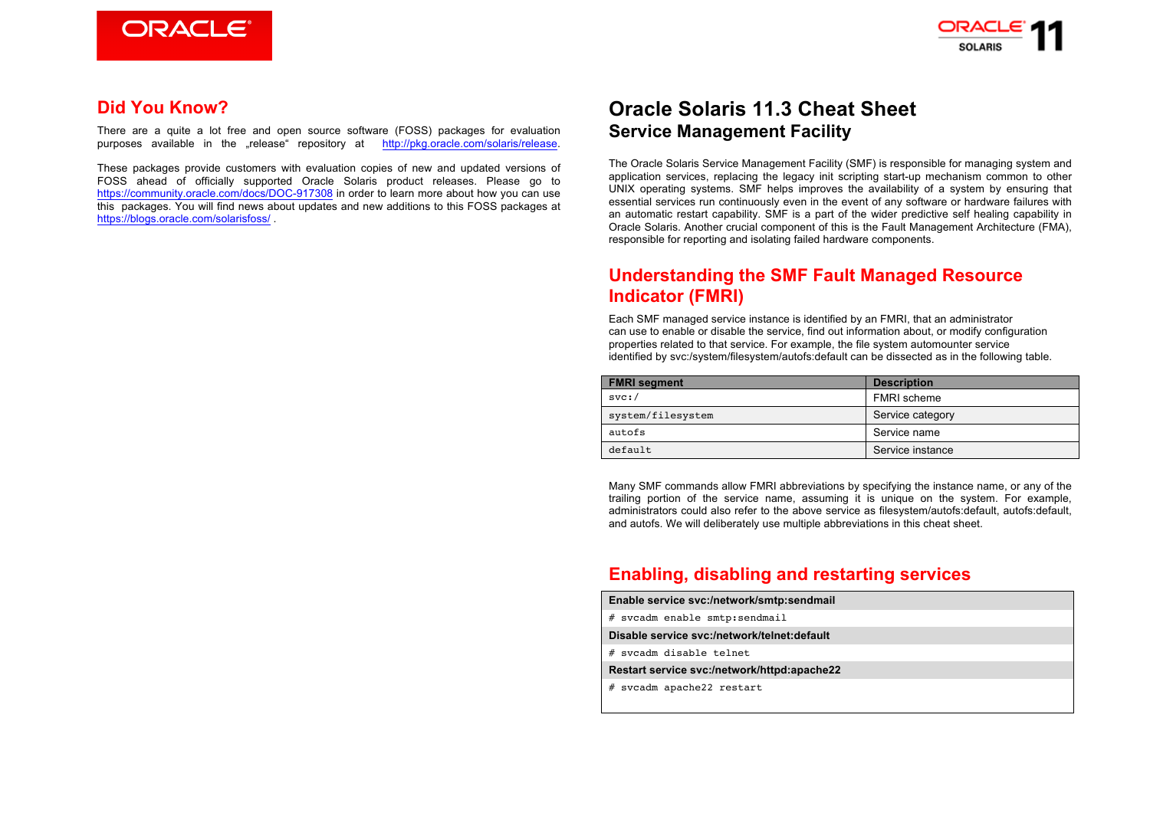



## **Did You Know?**

There are a quite a lot free and open source software (FOSS) packages for evaluation purposes available in the "release" repository at http://pkg.oracle.com/solaris/release.

These packages provide customers with evaluation copies of new and updated versions of FOSS ahead of officially supported Oracle Solaris product releases. Please go to https://community.oracle.com/docs/DOC-917308 in order to learn more about how you can use this packages. You will find news about updates and new additions to this FOSS packages at https://blogs.oracle.com/solarisfoss/ .

# **Oracle Solaris 11.3 Cheat Sheet Service Management Facility**

The Oracle Solaris Service Management Facility (SMF) is responsible for managing system and application services, replacing the legacy init scripting start-up mechanism common to other UNIX operating systems. SMF helps improves the availability of a system by ensuring that essential services run continuously even in the event of any software or hardware failures with an automatic restart capability. SMF is a part of the wider predictive self healing capability in Oracle Solaris. Another crucial component of this is the Fault Management Architecture (FMA), responsible for reporting and isolating failed hardware components.

## **Understanding the SMF Fault Managed Resource Indicator (FMRI)**

Each SMF managed service instance is identified by an FMRI, that an administrator can use to enable or disable the service, find out information about, or modify configuration properties related to that service. For example, the file system automounter service identified by svc:/system/filesystem/autofs:default can be dissected as in the following table.

| <b>FMRI</b> segment | <b>Description</b> |  |
|---------------------|--------------------|--|
| svc:                | <b>FMRI</b> scheme |  |
| system/filesystem   | Service category   |  |
| autofs              | Service name       |  |
| default             | Service instance   |  |

Many SMF commands allow FMRI abbreviations by specifying the instance name, or any of the trailing portion of the service name, assuming it is unique on the system. For example, administrators could also refer to the above service as filesystem/autofs:default, autofs:default, and autofs. We will deliberately use multiple abbreviations in this cheat sheet.

## **Enabling, disabling and restarting services**

- **Enable service svc:/network/smtp:sendmail**
- # svcadm enable smtp:sendmail
- **Disable service svc:/network/telnet:default**
- # svcadm disable telnet
- **Restart service svc:/network/httpd:apache22**
- # svcadm apache22 restart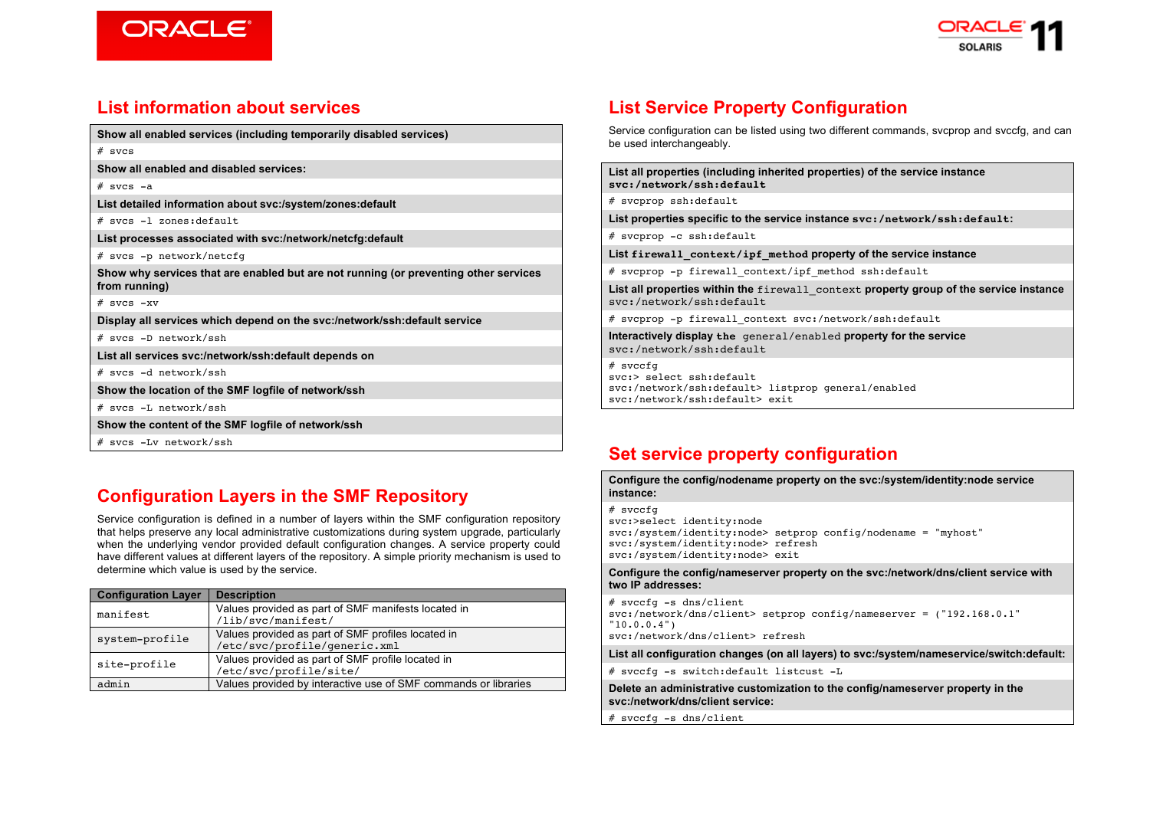



# **List information about services**

**Show all enabled services (including temporarily disabled services)**

| ÷<br>Ξ,<br>u e |  |
|----------------|--|
|                |  |

**Show all enabled and disabled services:**

 $#$  svcs  $-a$ 

**List detailed information about svc:/system/zones:default**

# svcs -l zones:default

**List processes associated with svc:/network/netcfg:default**

# svcs -p network/netcfg

**Show why services that are enabled but are not running (or preventing other services from running)**

 $#$  svcs  $-xy$ 

**Display all services which depend on the svc:/network/ssh:default service**

# svcs -D network/ssh

**List all services svc:/network/ssh:default depends on**

# svcs -d network/ssh

**Show the location of the SMF logfile of network/ssh**

# svcs -L network/ssh

**Show the content of the SMF logfile of network/ssh**

# svcs -Lv network/ssh

# **Configuration Layers in the SMF Repository**

Service configuration is defined in a number of layers within the SMF configuration repository that helps preserve any local administrative customizations during system upgrade, particularly when the underlying vendor provided default configuration changes. A service property could have different values at different layers of the repository. A simple priority mechanism is used to determine which value is used by the service.

| <b>Configuration Layer</b> | <b>Description</b>                                                                 |
|----------------------------|------------------------------------------------------------------------------------|
| manifest                   | Values provided as part of SMF manifests located in<br>/lib/svc/manifest/          |
| system-profile             | Values provided as part of SMF profiles located in<br>/etc/svc/profile/generic.xml |
| site-profile               | Values provided as part of SMF profile located in<br>/etc/svc/profile/site/        |
| admin                      | Values provided by interactive use of SMF commands or libraries                    |

# **List Service Property Configuration**

Service configuration can be listed using two different commands, svcprop and svccfg, and can be used interchangeably.

**List all properties (including inherited properties) of the service instance svc:/network/ssh:default**

# svcprop ssh:default

**List properties specific to the service instance svc:/network/ssh:default:**

# svcprop -c ssh:default

**List firewall\_context/ipf\_method property of the service instance**

# svcprop -p firewall context/ipf method ssh:default

**List all properties within the** firewall\_context **property group of the service instance**  svc:/network/ssh:default

# svcprop -p firewall\_context svc:/network/ssh:default

**Interactively display the** general/enabled **property for the service**  svc:/network/ssh:default

 $#$  svecfg svc:> select ssh:default svc:/network/ssh:default> listprop general/enabled svc:/network/ssh:default> exit

# **Set service property configuration**

**Configure the config/nodename property on the svc:/system/identity:node service instance:**

# svccfg svc:>select identity:node svc:/system/identity:node> setprop config/nodename = "myhost" svc:/system/identity:node> refresh svc:/system/identity:node> exit

**Configure the config/nameserver property on the svc:/network/dns/client service with two IP addresses:**

# svccfg -s dns/client svc:/network/dns/client> setprop config/nameserver = ("192.168.0.1" "10.0.0.4") svc:/network/dns/client> refresh

**List all configuration changes (on all layers) to svc:/system/nameservice/switch:default:**

# svccfg -s switch:default listcust -L

**Delete an administrative customization to the config/nameserver property in the svc:/network/dns/client service:**

# svccfg -s dns/client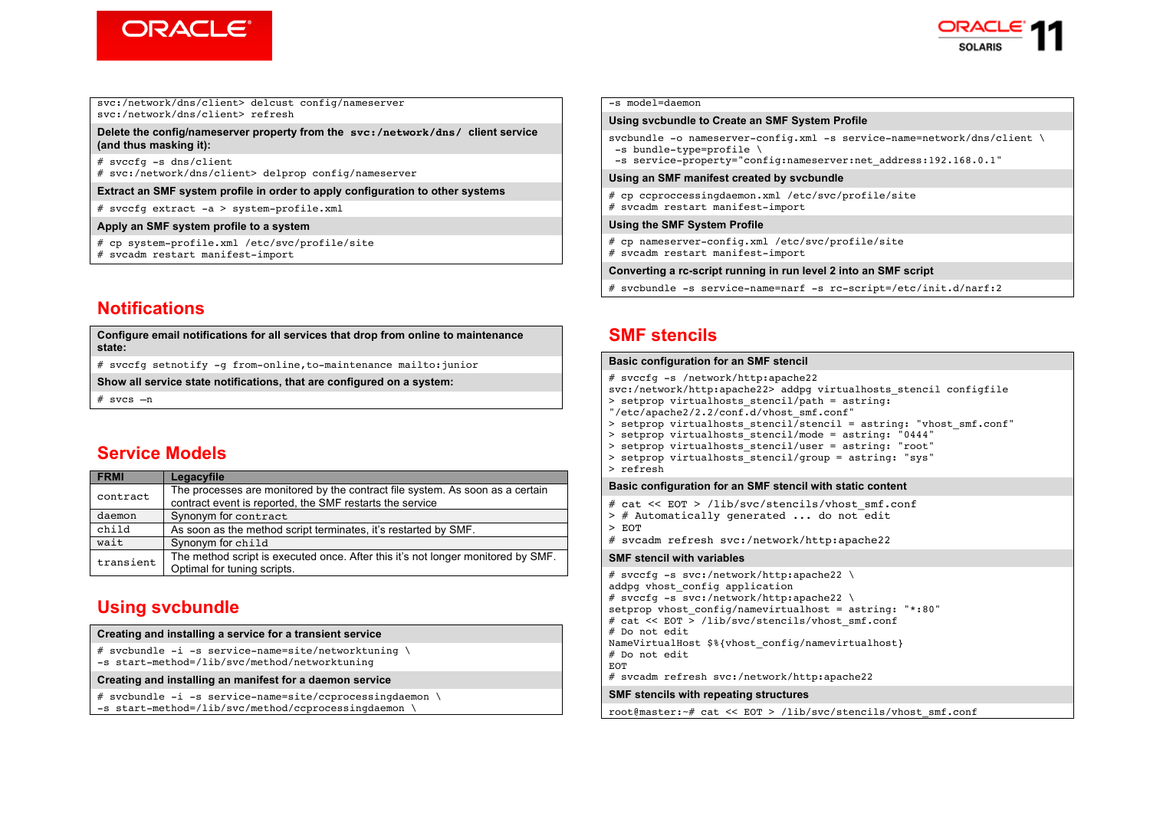



#### svc:/network/dns/client> delcust config/nameserver svc:/network/dns/client> refresh

#### **Delete the config/nameserver property from the svc:/network/dns/ client service (and thus masking it):**

# svccfg -s dns/client # svc:/network/dns/client> delprop config/nameserver

#### **Extract an SMF system profile in order to apply configuration to other systems**

# svccfg extract -a > system-profile.xml

#### **Apply an SMF system profile to a system**

# cp system-profile.xml /etc/svc/profile/site # svcadm restart manifest-import

## **Notifications**

**Configure email notifications for all services that drop from online to maintenance state:**

# svccfg setnotify -g from-online,to-maintenance mailto:junior

**Show all service state notifications, that are configured on a system:**

 $#$  svcs  $-n$ 

## **Service Models**

| <b>FRMI</b> | Legacyfile                                                                                                      |  |
|-------------|-----------------------------------------------------------------------------------------------------------------|--|
| contract    | The processes are monitored by the contract file system. As soon as a certain                                   |  |
|             | contract event is reported, the SMF restarts the service                                                        |  |
| daemon      | Synonym for contract                                                                                            |  |
| child       | As soon as the method script terminates, it's restarted by SMF.                                                 |  |
| wait        | Synonym for child                                                                                               |  |
| transient   | The method script is executed once. After this it's not longer monitored by SMF.<br>Optimal for tuning scripts. |  |

## **Using svcbundle**

|  | Creating and installing a service for a transient service |
|--|-----------------------------------------------------------|
|--|-----------------------------------------------------------|

```
# svcbundle -i -s service-name=site/networktuning \
-s start-method=/lib/svc/method/networktuning
```
**Creating and installing an manifest for a daemon service**

```
# svcbundle -i -s service-name=site/ccprocessingdaemon \
-s start-method=/lib/svc/method/ccprocessingdaemon \
```
#### -s model=daemon

#### **Using svcbundle to Create an SMF System Profile**

```
svcbundle -0 nameserver-config.xml -s service-name=network/dns/client \
-s bundle-type=profile \
```
-s service-property="config:nameserver:net\_address:192.168.0.1"

#### **Using an SMF manifest created by svcbundle**

# cp ccproccessingdaemon.xml /etc/svc/profile/site # svcadm restart manifest-import

#### **Using the SMF System Profile**

# cp nameserver-config.xml /etc/svc/profile/site # svcadm restart manifest-import

#### **Converting a rc-script running in run level 2 into an SMF script**

# svcbundle -s service-name=narf -s rc-script=/etc/init.d/narf:2

## **SMF stencils**

#### **Basic configuration for an SMF stencil**

```
# svccfg -s /network/http:apache22
svc:/network/http:apache22> addpg virtualhosts_stencil configfile
> setprop virtualhosts stencil/path = astring:
"/etc/apache2/2.2/conf.d/vhost_smf.conf"
> setprop virtualhosts stencil\sqrt{s}tencil = astring: "vhost smf.conf"
> setprop virtualhosts stencil/mode = astring: "0444"
> setprop virtualhosts stencil/user = astring: "root"
> setprop virtualhosts stencil/group = astring: "sys"
> refresh
Basic configuration for an SMF stencil with static content
# cat << EOT > /lib/svc/stencils/vhost_smf.conf
> # Automatically generated ... do not edit
> EOT
# svcadm refresh svc:/network/http:apache22
SMF stencil with variables
# svccfg -s svc:/network/http:apache22 \
addpg vhost config application
# svccfg -s svc:/network/http:apache22 \
setprop vhost config/namevirtualhost = astring: "*:80"
# cat << EOT > /lib/svc/stencils/vhost_smf.conf
# Do not edit
NameVirtualHost $%{vhost_config/namevirtualhost}
# Do not edit
EOT
# svcadm refresh svc:/network/http:apache22
SMF stencils with repeating structures
root@master:~# cat << EOT > /lib/svc/stencils/vhost_smf.conf
```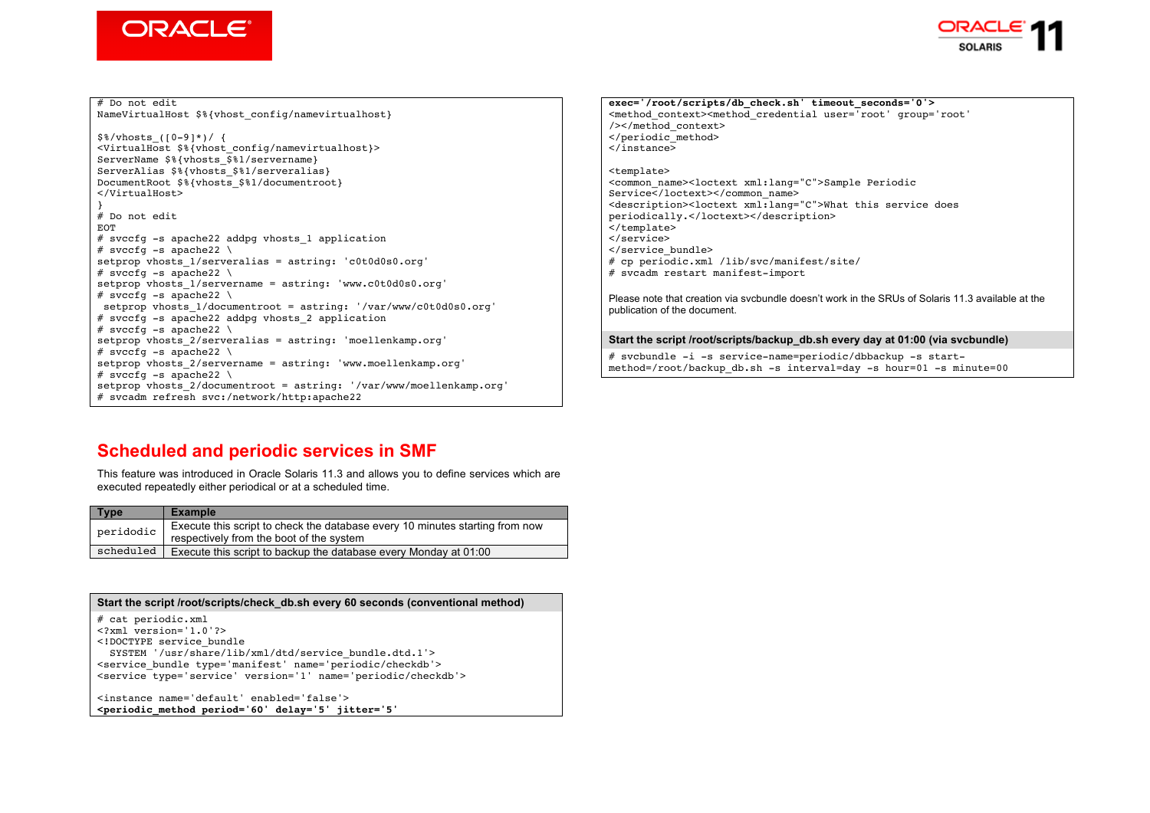



# Do not edit NameVirtualHost \$%{vhost config/namevirtualhost}  $$%/vhosts$  ([0-9]\*)/ { <VirtualHost \$%{vhost\_config/namevirtualhost}> ServerName \$%{vhosts \$%1/servername} ServerAlias \$%{vhosts \$%1/serveralias} DocumentRoot \$%{vhosts \$%1/documentroot} </VirtualHost> } # Do not edit EOT # svccfg -s apache22 addpg vhosts\_1 application # svccfq  $-s$  apache22 \ setprop vhosts  $1/$ serveralias = astring: 'c0t0d0s0.org' # svccfq  $-s$  apache22 \ setprop vhosts\_1/servername = astring: 'www.c0t0d0s0.org' # svccfq  $-s$  apache22 \ setprop vhosts\_1/documentroot = astring: '/var/www/c0t0d0s0.org' # svccfg -s apache22 addpg vhosts\_2 application # svccfq  $-s$  apache22 \ setprop vhosts 2/serveralias = astring: 'moellenkamp.org' # svccfq  $-$ s apache22 \ setprop vhosts\_2/servername = astring: 'www.moellenkamp.org' # svccfg  $-$ s apache22 \ setprop vhosts 2/documentroot = astring: '/var/www/moellenkamp.org' # svcadm refresh svc:/network/http:apache22

### **exec='/root/scripts/db\_check.sh' timeout\_seconds='0'>** <method\_context><method\_credential user='root' group='root' /></method\_context> </periodic\_method> </instance> <template> <common\_name><loctext xml:lang="C">Sample Periodic Service</loctext></common\_name> <description><loctext xml:lang="C">What this service does periodically.</loctext></description> </template> </service> </service\_bundle> # cp periodic.xml /lib/svc/manifest/site/ # svcadm restart manifest-import Please note that creation via svcbundle doesn't work in the SRUs of Solaris 11.3 available at the publication of the document. **Start the script /root/scripts/backup\_db.sh every day at 01:00 (via svcbundle)**

# svcbundle -i -s service-name=periodic/dbbackup -s startmethod=/root/backup\_db.sh -s interval=day -s hour=01 -s minute=00

# **Scheduled and periodic services in SMF**

This feature was introduced in Oracle Solaris 11.3 and allows you to define services which are executed repeatedly either periodical or at a scheduled time.

| <b>Type</b> | <b>Example</b>                                                                                                           |
|-------------|--------------------------------------------------------------------------------------------------------------------------|
| peridodic   | Execute this script to check the database every 10 minutes starting from now<br>respectively from the boot of the system |
| scheduled   | Execute this script to backup the database every Monday at 01:00                                                         |

| Start the script /root/scripts/check db.sh every 60 seconds (conventional method)                                                                                                                                                                                                |
|----------------------------------------------------------------------------------------------------------------------------------------------------------------------------------------------------------------------------------------------------------------------------------|
| # cat periodic.xml<br>$\leq$ ?xml version='1.0'?><br>service bundle<br SYSTEM '/usr/share/lib/xml/dtd/service bundle.dtd.1'><br><service bundle="" name="periodic/checkdb" type="manifest"><br/><service name="periodic/checkdb" type="service" version="1"></service></service> |
| <instance enabled="false" name="default"><br/><periodic <="" delay="5" jitter="5" method="" period="60" th=""></periodic></instance>                                                                                                                                             |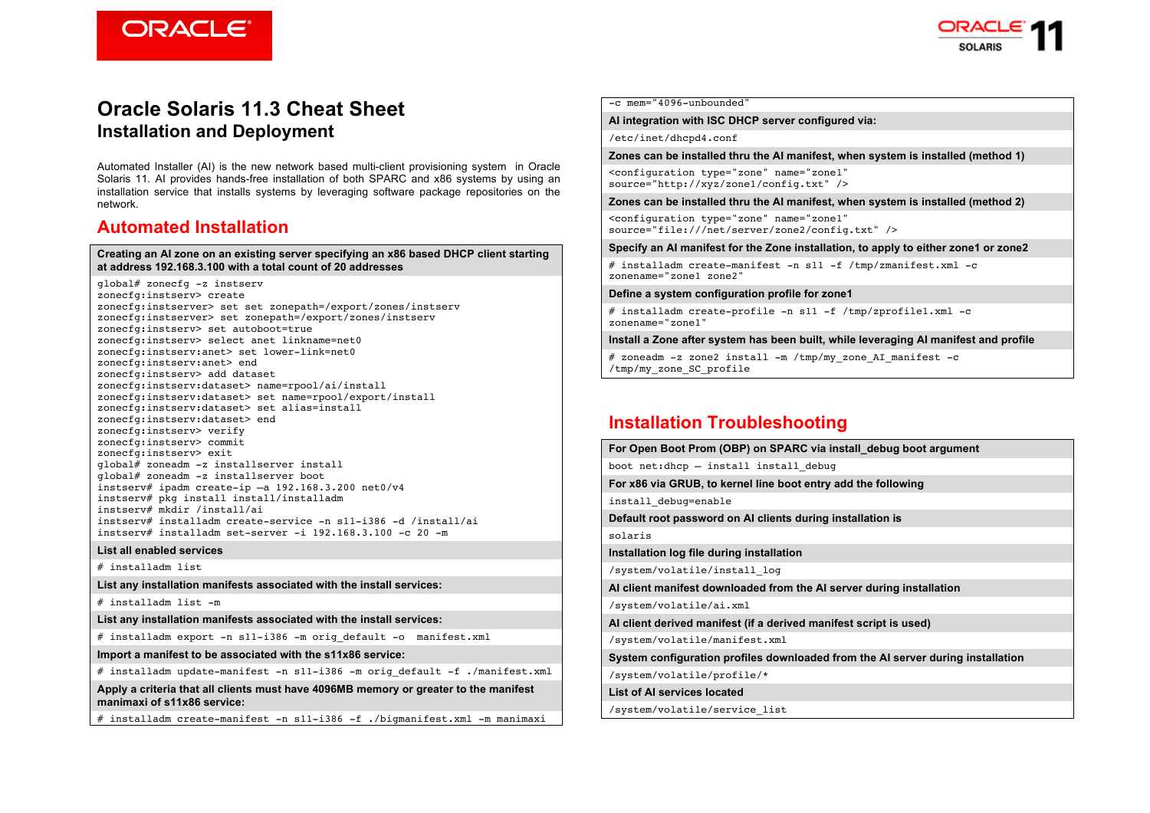**ORACLE** 



## **Oracle Solaris 11.3 Cheat Sheet Installation and Deployment**

Automated Installer (AI) is the new network based multi-client provisioning system in Oracle Solaris 11. AI provides hands-free installation of both SPARC and x86 systems by using an installation service that installs systems by leveraging software package repositories on the network.

### **Automated Installation**

#### **Creating an AI zone on an existing server specifying an x86 based DHCP client starting at address 192.168.3.100 with a total count of 20 addresses**

global# zonecfg -z instserv zonecfg:instserv> create zonecfg:instserver> set set zonepath=/export/zones/instserv zonecfg:instserver> set zonepath=/export/zones/instserv zonecfg:instserv> set autoboot=true zonecfg:instserv> select anet linkname=net0 zonecfg:instserv:anet> set lower-link=net0 zonecfg:instserv:anet> end zonecfg:instserv> add dataset zonecfg:instserv:dataset> name=rpool/ai/install zonecfg:instserv:dataset> set name=rpool/export/install zonecfg:instserv:dataset> set alias=install zonecfg:instserv:dataset> end zonecfg:instserv> verify zonecfg:instserv> commit zonecfg:instserv> exit global# zoneadm -z installserver install global# zoneadm -z installserver boot instserv# ipadm create-ip  $-a$  192.168.3.200 net0/v4 instserv# pkg install install/installadm instserv# mkdir /install/ai instserv# installadm create-service -n s11-i386 -d /install/ai  $instserv#$  installadm set-server  $-i$  192.168.3.100 -c 20 -m

#### **List all enabled services**

# installadm list

**List any installation manifests associated with the install services:**

# installadm list -m

**List any installation manifests associated with the install services:**

# installadm export -n s11-i386 -m orig default -o manifest.xml

**Import a manifest to be associated with the s11x86 service:**

# installadm update-manifest -n s11-i386 -m orig\_default -f ./manifest.xml

**Apply a criteria that all clients must have 4096MB memory or greater to the manifest manimaxi of s11x86 service:**

# installadm create-manifest -n s11-i386 -f ./bigmanifest.xml -m manimaxi

-c mem="4096-unbounded"

#### **AI integration with ISC DHCP server configured via:**

/etc/inet/dhcpd4.conf

**Zones can be installed thru the AI manifest, when system is installed (method 1)** 

<configuration type="zone" name="zone1" source="http://xyz/zone1/config.txt" />

**Zones can be installed thru the AI manifest, when system is installed (method 2)**

<configuration type="zone" name="zone1" source="file:///net/server/zone2/config.txt" />

**Specify an AI manifest for the Zone installation, to apply to either zone1 or zone2**

# installadm create-manifest -n s11 -f /tmp/zmanifest.xml -c zonename="zone1 zone2"

### **Define a system configuration profile for zone1**

# installadm create-profile -n s11 -f /tmp/zprofile1.xml -c zonename="zone1"

**Install a Zone after system has been built, while leveraging AI manifest and profile**

# zoneadm -z zone2 install -m /tmp/my\_zone\_AI\_manifest -c /tmp/my\_zone\_SC\_profile

## **Installation Troubleshooting**

**For Open Boot Prom (OBP) on SPARC via install\_debug boot argument** boot net:dhcp – install install\_debug **For x86 via GRUB, to kernel line boot entry add the following** install\_debug=enable **Default root password on AI clients during installation is** solaris **Installation log file during installation** /system/volatile/install\_log **AI client manifest downloaded from the AI server during installation** /system/volatile/ai.xml **AI client derived manifest (if a derived manifest script is used)** /system/volatile/manifest.xml **System configuration profiles downloaded from the AI server during installation** /system/volatile/profile/\* **List of AI services located** /system/volatile/service\_list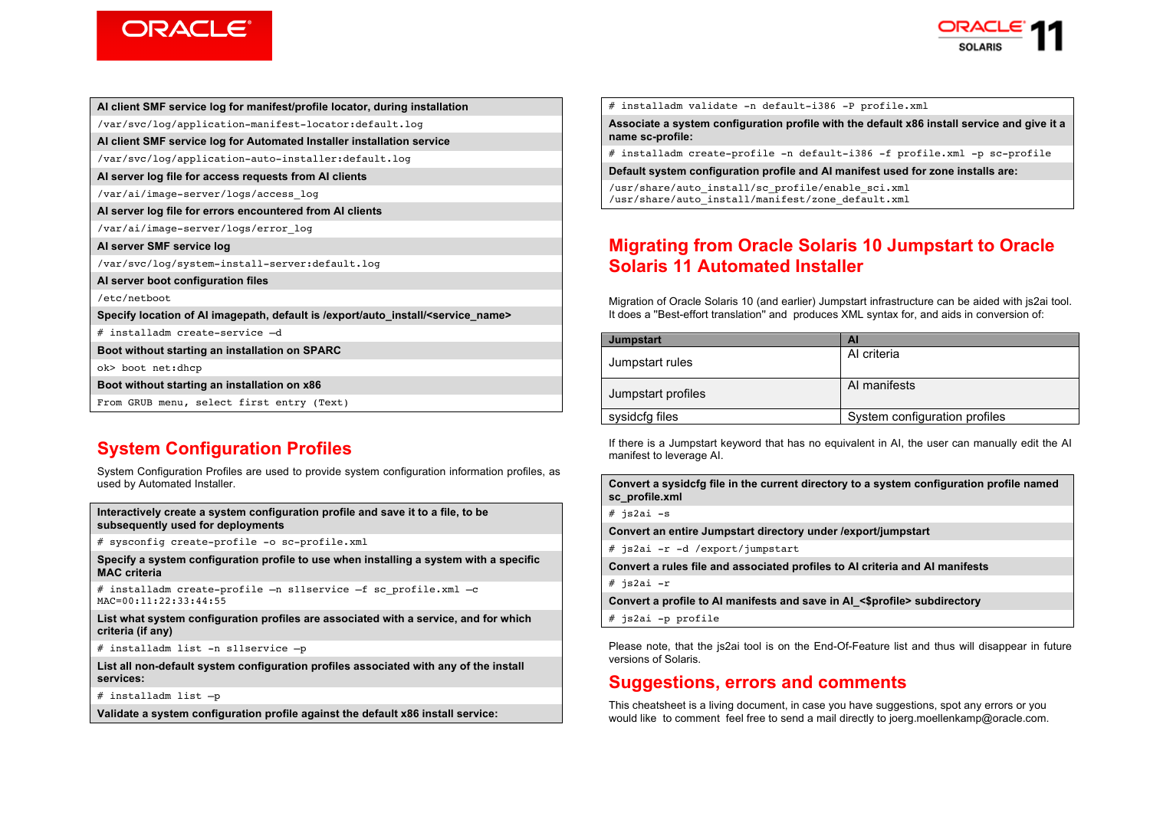



|  | Al client SMF service log for manifest/profile locator, during installation |  |
|--|-----------------------------------------------------------------------------|--|
|--|-----------------------------------------------------------------------------|--|

/var/svc/log/application-manifest-locator:default.log

**AI client SMF service log for Automated Installer installation service**

/var/svc/log/application-auto-installer:default.log

**AI server log file for access requests from AI clients**

/var/ai/image-server/logs/access\_log

**AI server log file for errors encountered from AI clients**

/var/ai/image-server/logs/error\_log

**AI server SMF service log**

/var/svc/log/system-install-server:default.log

**AI server boot configuration files**

/etc/netboot

**Specify location of AI imagepath, default is /export/auto\_install/<service\_name>**

# installadm create-service –d

**Boot without starting an installation on SPARC**

ok> boot net:dhcp

**Boot without starting an installation on x86**

From GRUB menu, select first entry (Text)

# **System Configuration Profiles**

System Configuration Profiles are used to provide system configuration information profiles, as used by Automated Installer.

**Interactively create a system configuration profile and save it to a file, to be subsequently used for deployments**

# sysconfig create-profile -o sc-profile.xml

**Specify a system configuration profile to use when installing a system with a specific MAC criteria**

# installadm create-profile  $-n$  sliservice  $-f$  sc profile.xml  $-c$ MAC=00:11:22:33:44:55

**List what system configuration profiles are associated with a service, and for which criteria (if any)**

# installadm list -n s11service –p

**List all non-default system configuration profiles associated with any of the install services:**

# installadm list –p

**Validate a system configuration profile against the default x86 install service:**

# installadm validate -n default-i386 -P profile.xml

**Associate a system configuration profile with the default x86 install service and give it a name sc-profile:**

# installadm create-profile -n default-i386 -f profile.xml -p sc-profile

**Default system configuration profile and AI manifest used for zone installs are:**

/usr/share/auto\_install/sc\_profile/enable\_sci.xml /usr/share/auto\_install/manifest/zone\_default.xml

# **Migrating from Oracle Solaris 10 Jumpstart to Oracle Solaris 11 Automated Installer**

Migration of Oracle Solaris 10 (and earlier) Jumpstart infrastructure can be aided with js2ai tool. It does a ''Best-effort translation'' and produces XML syntax for, and aids in conversion of:

| <b>Jumpstart</b>   | AI                            |  |
|--------------------|-------------------------------|--|
| Jumpstart rules    | Al criteria                   |  |
| Jumpstart profiles | AI manifests                  |  |
| sysidcfg files     | System configuration profiles |  |

If there is a Jumpstart keyword that has no equivalent in AI, the user can manually edit the AI manifest to leverage AI.

**Convert a sysidcfg file in the current directory to a system configuration profile named sc\_profile.xml**

# js2ai -s

**Convert an entire Jumpstart directory under /export/jumpstart**

# js2ai -r -d /export/jumpstart

**Convert a rules file and associated profiles to AI criteria and AI manifests**

# js2ai -r

**Convert a profile to AI manifests and save in AI\_<\$profile> subdirectory**

# js2ai -p profile

Please note, that the js2ai tool is on the End-Of-Feature list and thus will disappear in future versions of Solaris.

## **Suggestions, errors and comments**

This cheatsheet is a living document, in case you have suggestions, spot any errors or you would like to comment feel free to send a mail directly to joerg.moellenkamp@oracle.com.